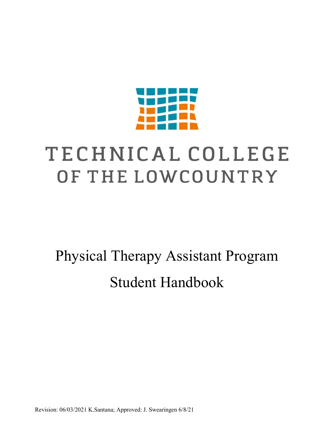

# TECHNICAL COLLEGE OF THE LOWCOUNTRY

Physical Therapy Assistant Program Student Handbook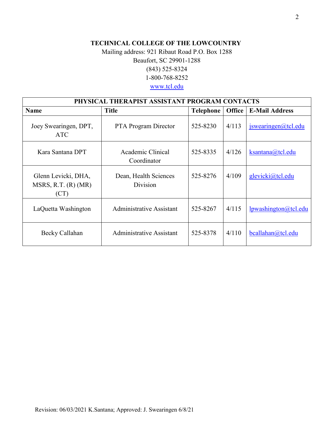## **TECHNICAL COLLEGE OF THE LOWCOUNTRY**

## Mailing address: 921 Ribaut Road P.O. Box 1288 Beaufort, SC 29901-1288 (843) 525-8324 1-800-768-8252 [www.tcl.edu](http://www.tcl.edu/)

| PHYSICAL THERAPIST ASSISTANT PROGRAM CONTACTS      |                                   |           |               |                             |
|----------------------------------------------------|-----------------------------------|-----------|---------------|-----------------------------|
| <b>Name</b>                                        | <b>Title</b>                      | Telephone | <b>Office</b> | <b>E-Mail Address</b>       |
| Joey Swearingen, DPT,<br><b>ATC</b>                | <b>PTA</b> Program Director       | 525-8230  | 4/113         | $is wearing en (a)$ tcl.edu |
| Kara Santana DPT                                   | Academic Clinical<br>Coordinator  | 525-8335  | 4/126         | ksantana@tcl.edu            |
| Glenn Levicki, DHA,<br>MSRS, R.T. (R) (MR)<br>(CT) | Dean, Health Sciences<br>Division | 525-8276  | 4/109         | glevicki@tcl.edu            |
| LaQuetta Washington                                | Administrative Assistant          | 525-8267  | 4/115         | <u>lpwashington@tcl.edu</u> |
| Becky Callahan                                     | Administrative Assistant          | 525-8378  | 4/110         | bcallahan@tcl.edu           |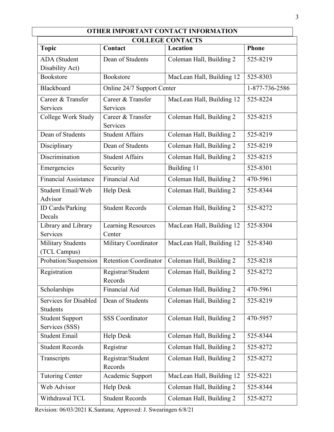| <b>OTHER IMPORTANT CONTACT INFORMATION</b><br><b>COLLEGE CONTACTS</b> |                                     |                           |                |  |  |
|-----------------------------------------------------------------------|-------------------------------------|---------------------------|----------------|--|--|
| <b>Topic</b>                                                          | Contact                             | Location                  | <b>Phone</b>   |  |  |
| ADA (Student<br>Disability Act)                                       | Dean of Students                    | Coleman Hall, Building 2  | 525-8219       |  |  |
| Bookstore                                                             | Bookstore                           | MacLean Hall, Building 12 | 525-8303       |  |  |
| <b>Blackboard</b>                                                     | Online 24/7 Support Center          |                           | 1-877-736-2586 |  |  |
| Career & Transfer<br>Services                                         | Career & Transfer<br>Services       | MacLean Hall, Building 12 | 525-8224       |  |  |
| College Work Study                                                    | Career & Transfer<br>Services       | Coleman Hall, Building 2  | 525-8215       |  |  |
| Dean of Students                                                      | <b>Student Affairs</b>              | Coleman Hall, Building 2  | 525-8219       |  |  |
| Disciplinary                                                          | Dean of Students                    | Coleman Hall, Building 2  | 525-8219       |  |  |
| Discrimination                                                        | <b>Student Affairs</b>              | Coleman Hall, Building 2  | 525-8215       |  |  |
| Emergencies                                                           | Security                            | Building 11               | 525-8301       |  |  |
| <b>Financial Assistance</b>                                           | Financial Aid                       | Coleman Hall, Building 2  | 470-5961       |  |  |
| Student Email/Web<br>Advisor                                          | <b>Help Desk</b>                    | Coleman Hall, Building 2  | 525-8344       |  |  |
| ID Cards/Parking<br>Decals                                            | <b>Student Records</b>              | Coleman Hall, Building 2  | 525-8272       |  |  |
| Library and Library<br>Services                                       | <b>Learning Resources</b><br>Center | MacLean Hall, Building 12 | 525-8304       |  |  |
| <b>Military Students</b><br>(TCL Campus)                              | Military Coordinator                | MacLean Hall, Building 12 | 525-8340       |  |  |
| Probation/Suspension                                                  | <b>Retention Coordinator</b>        | Coleman Hall, Building 2  | 525-8218       |  |  |
| Registration                                                          | Registrar/Student<br>Records        | Coleman Hall, Building 2  | 525-8272       |  |  |
| Scholarships                                                          | Financial Aid                       | Coleman Hall, Building 2  | 470-5961       |  |  |
| Services for Disabled<br>Students                                     | Dean of Students                    | Coleman Hall, Building 2  | 525-8219       |  |  |
| <b>Student Support</b><br>Services (SSS)                              | <b>SSS Coordinator</b>              | Coleman Hall, Building 2  | 470-5957       |  |  |
| <b>Student Email</b>                                                  | <b>Help Desk</b>                    | Coleman Hall, Building 2  | 525-8344       |  |  |
| <b>Student Records</b>                                                | Registrar                           | Coleman Hall, Building 2  | 525-8272       |  |  |
| Transcripts                                                           | Registrar/Student<br>Records        | Coleman Hall, Building 2  | 525-8272       |  |  |
| <b>Tutoring Center</b>                                                | Academic Support                    | MacLean Hall, Building 12 | 525-8221       |  |  |
| Web Advisor                                                           | Help Desk                           | Coleman Hall, Building 2  | 525-8344       |  |  |
| Withdrawal TCL                                                        | <b>Student Records</b>              | Coleman Hall, Building 2  | 525-8272       |  |  |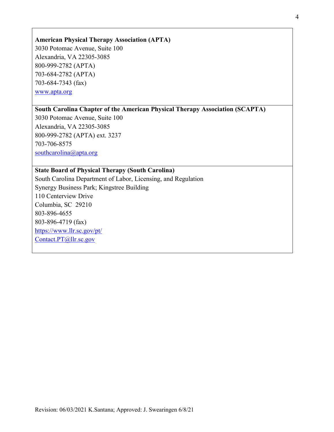#### **American Physical Therapy Association (APTA)**

3030 Potomac Avenue, Suite 100 Alexandria, VA 22305-3085 800-999-2782 (APTA) 703-684-2782 (APTA) 703-684-7343 (fax) [www.apta.org](http://www.apta.org/)

## **South Carolina Chapter of the American Physical Therapy Association (SCAPTA)**

3030 Potomac Avenue, Suite 100 Alexandria, VA 22305-3085 800-999-2782 (APTA) ext. 3237 [703-706-8575](tel:703-706-8575) [southcarolina@apta.org](mailto:southcarolina@apta.org)

#### **State Board of Physical Therapy (South Carolina)**

South Carolina Department of Labor, Licensing, and Regulation Synergy Business Park; Kingstree Building 110 Centerview Drive Columbia, SC 29210 803-896-4655 803-896-4719 (fax) <https://www.llr.sc.gov/pt/> [Contact.PT@llr.sc.gov](mailto:Contact.PT@llr.sc.gov)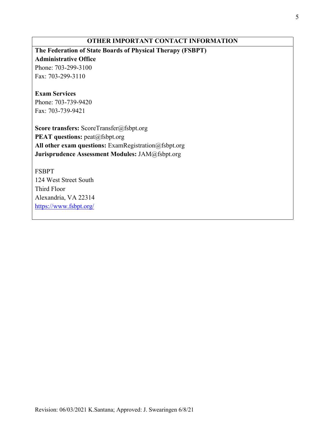# **OTHER IMPORTANT CONTACT INFORMATION**

# **The Federation of State Boards of Physical Therapy (FSBPT)**

#### **Administrative Office**

Phone: 703-299-3100 Fax: 703-299-3110

## **Exam Services**

Phone: 703-739-9420 Fax: 703-739-9421

**Score transfers:** ScoreTransfer@fsbpt.org **PEAT questions:** peat@fsbpt.org **All other exam questions:** ExamRegistration@fsbpt.org **Jurisprudence Assessment Modules:** JAM@fsbpt.org

FSBPT 124 West Street South Third Floor Alexandria, VA 22314 <https://www.fsbpt.org/>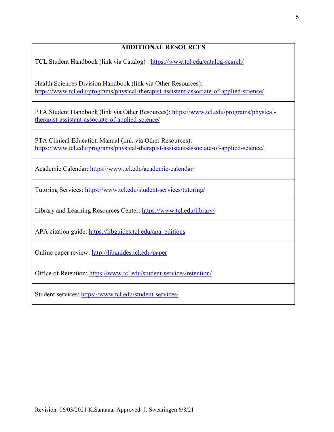#### **ADDITIONAL RESOURCES**

TCL Student Handbook (link via Catalog) :<https://www.tcl.edu/catalog-search/>

Health Sciences Division Handbook (link via Other Resources): <https://www.tcl.edu/programs/physical-therapist-assistant-associate-of-applied-science/>

PTA Student Handbook (link via Other Resources): [https://www.tcl.edu/programs/physical](https://www.tcl.edu/programs/physical-therapist-assistant-associate-of-applied-science/)[therapist-assistant-associate-of-applied-science/](https://www.tcl.edu/programs/physical-therapist-assistant-associate-of-applied-science/)

PTA Clinical Education Manual (link via Other Resources): <https://www.tcl.edu/programs/physical-therapist-assistant-associate-of-applied-science/>

Academic Calendar:<https://www.tcl.edu/academic-calendar/>

Tutoring Services:<https://www.tcl.edu/student-services/tutoring/>

Library and Learning Resources Center:<https://www.tcl.edu/library/>

APA citation guide: [https://libguides.tcl.edu/apa\\_editions](https://libguides.tcl.edu/apa_editions)

Online paper review:<http://libguides.tcl.edu/paper>

Office of Retention:<https://www.tcl.edu/student-services/retention/>

Student services:<https://www.tcl.edu/student-services/>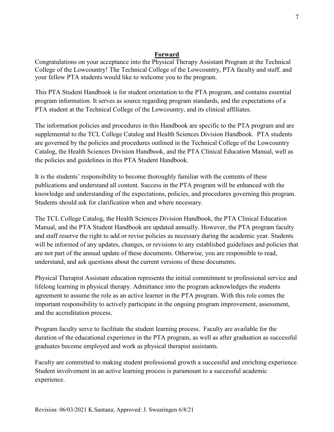#### **Forward**

Congratulations on your acceptance into the Physical Therapy Assistant Program at the Technical College of the Lowcountry! The Technical College of the Lowcountry, PTA faculty and staff, and your fellow PTA students would like to welcome you to the program.

This PTA Student Handbook is for student orientation to the PTA program, and contains essential program information. It serves as source regarding program standards, and the expectations of a PTA student at the Technical College of the Lowcountry, and its clinical affiliates.

The information policies and procedures in this Handbook are specific to the PTA program and are supplemental to the TCL College Catalog and Health Sciences Division Handbook. PTA students are governed by the policies and procedures outlined in the Technical College of the Lowcountry Catalog, the Health Sciences Division Handbook, and the PTA Clinical Education Manual, well as the policies and guidelines in this PTA Student Handbook.

It is the students' responsibility to become thoroughly familiar with the contents of these publications and understand all content. Success in the PTA program will be enhanced with the knowledge and understanding of the expectations, policies, and procedures governing this program. Students should ask for clarification when and where necessary.

The TCL College Catalog, the Health Sciences Division Handbook, the PTA Clinical Education Manual, and the PTA Student Handbook are updated annually. However, the PTA program faculty and staff reserve the right to add or revise policies as necessary during the academic year. Students will be informed of any updates, changes, or revisions to any established guidelines and policies that are not part of the annual update of these documents. Otherwise, you are responsible to read, understand, and ask questions about the current versions of these documents.

Physical Therapist Assistant education represents the initial commitment to professional service and lifelong learning in physical therapy. Admittance into the program acknowledges the students agreement to assume the role as an active learner in the PTA program. With this role comes the important responsibility to actively participate in the ongoing program improvement, assessment, and the accreditation process.

Program faculty serve to facilitate the student learning process. Faculty are available for the duration of the educational experience in the PTA program, as well as after graduation as successful graduates become employed and work as physical therapist assistants.

Faculty are committed to making student professional growth a successful and enriching experience. Student involvement in an active learning process is paramount to a successful academic experience.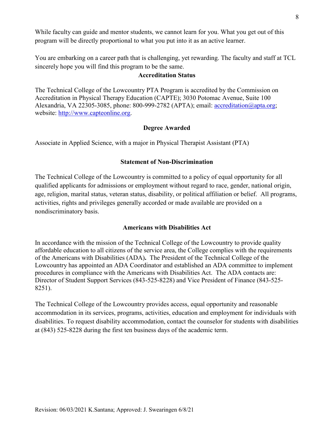While faculty can guide and mentor students, we cannot learn for you. What you get out of this program will be directly proportional to what you put into it as an active learner.

You are embarking on a career path that is challenging, yet rewarding. The faculty and staff at TCL sincerely hope you will find this program to be the same.

#### **Accreditation Status**

The Technical College of the Lowcountry PTA Program is accredited by the Commission on Accreditation in Physical Therapy Education (CAPTE); 3030 Potomac Avenue, Suite 100 Alexandria, VA 22305-3085, phone: 800-999-2782 (APTA); email: [accreditation@apta.org;](mailto:accreditation@apta.org) website: [http://www.capteonline.org.](http://www.capteonline.org/)

#### **Degree Awarded**

Associate in Applied Science, with a major in Physical Therapist Assistant (PTA)

#### **Statement of Non-Discrimination**

The Technical College of the Lowcountry is committed to a policy of equal opportunity for all qualified applicants for admissions or employment without regard to race, gender, national origin, age, religion, marital status, veteran status, disability, or political affiliation or belief. All programs, activities, rights and privileges generally accorded or made available are provided on a nondiscriminatory basis.

#### **Americans with Disabilities Act**

In accordance with the mission of the Technical College of the Lowcountry to provide quality affordable education to all citizens of the service area, the College complies with the requirements of the Americans with Disabilities (ADA)**.** The President of the Technical College of the Lowcountry has appointed an ADA Coordinator and established an ADA committee to implement procedures in compliance with the Americans with Disabilities Act. The ADA contacts are: Director of Student Support Services (843-525-8228) and Vice President of Finance (843-525- 8251).

The Technical College of the Lowcountry provides access, equal opportunity and reasonable accommodation in its services, programs, activities, education and employment for individuals with disabilities. To request disability accommodation, contact the counselor for students with disabilities at (843) 525-8228 during the first ten business days of the academic term.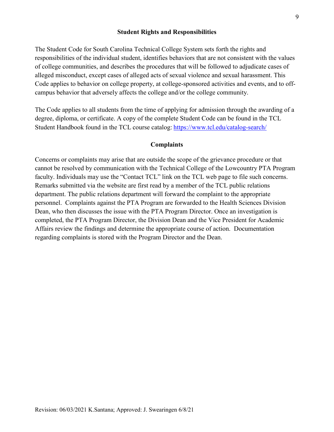#### **Student Rights and Responsibilities**

The Student Code for South Carolina Technical College System sets forth the rights and responsibilities of the individual student, identifies behaviors that are not consistent with the values of college communities, and describes the procedures that will be followed to adjudicate cases of alleged misconduct, except cases of alleged acts of sexual violence and sexual harassment. This Code applies to behavior on college property, at college-sponsored activities and events, and to offcampus behavior that adversely affects the college and/or the college community.

The Code applies to all students from the time of applying for admission through the awarding of a degree, diploma, or certificate. A copy of the complete Student Code can be found in the TCL Student Handbook found in the TCL course catalog: <https://www.tcl.edu/catalog-search/>

#### **Complaints**

Concerns or complaints may arise that are outside the scope of the grievance procedure or that cannot be resolved by communication with the Technical College of the Lowcountry PTA Program faculty. Individuals may use the "Contact TCL" link on the TCL web page to file such concerns. Remarks submitted via the website are first read by a member of the TCL public relations department. The public relations department will forward the complaint to the appropriate personnel. Complaints against the PTA Program are forwarded to the Health Sciences Division Dean, who then discusses the issue with the PTA Program Director. Once an investigation is completed, the PTA Program Director, the Division Dean and the Vice President for Academic Affairs review the findings and determine the appropriate course of action. Documentation regarding complaints is stored with the Program Director and the Dean.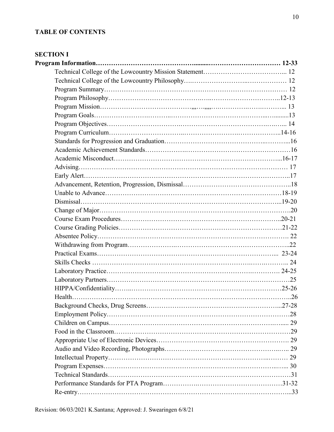## **TABLE OF CONTENTS**

## **SECTION I**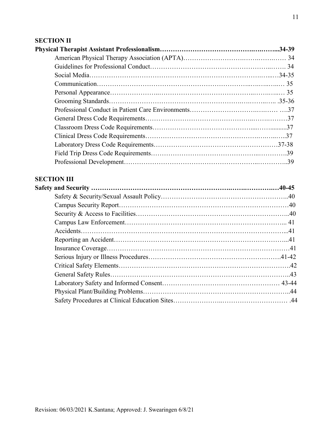# **SECTION II**

# **SECTION III**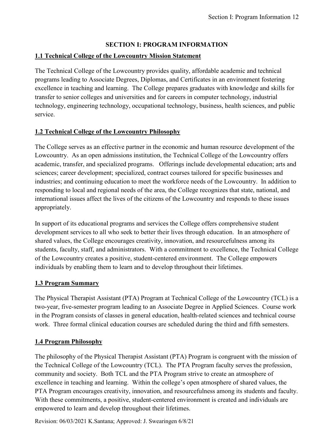#### **SECTION I: PROGRAM INFORMATION**

#### **1.1 Technical College of the Lowcountry Mission Statement**

The Technical College of the Lowcountry provides quality, affordable academic and technical programs leading to Associate Degrees, Diplomas, and Certificates in an environment fostering excellence in teaching and learning. The College prepares graduates with knowledge and skills for transfer to senior colleges and universities and for careers in computer technology, industrial technology, engineering technology, occupational technology, business, health sciences, and public service.

#### **1.2 Technical College of the Lowcountry Philosophy**

The College serves as an effective partner in the economic and human resource development of the Lowcountry. As an open admissions institution, the Technical College of the Lowcountry offers academic, transfer, and specialized programs. Offerings include developmental education; arts and sciences; career development; specialized, contract courses tailored for specific businesses and industries; and continuing education to meet the workforce needs of the Lowcountry. In addition to responding to local and regional needs of the area, the College recognizes that state, national, and international issues affect the lives of the citizens of the Lowcountry and responds to these issues appropriately.

In support of its educational programs and services the College offers comprehensive student development services to all who seek to better their lives through education. In an atmosphere of shared values, the College encourages creativity, innovation, and resourcefulness among its students, faculty, staff, and administrators. With a commitment to excellence, the Technical College of the Lowcountry creates a positive, student-centered environment. The College empowers individuals by enabling them to learn and to develop throughout their lifetimes.

#### **1.3 Program Summary**

The Physical Therapist Assistant (PTA) Program at Technical College of the Lowcountry (TCL) is a two-year, five-semester program leading to an Associate Degree in Applied Sciences. Course work in the Program consists of classes in general education, health-related sciences and technical course work. Three formal clinical education courses are scheduled during the third and fifth semesters.

#### **1.4 Program Philosophy**

The philosophy of the Physical Therapist Assistant (PTA) Program is congruent with the mission of the Technical College of the Lowcountry (TCL). The PTA Program faculty serves the profession, community and society. Both TCL and the PTA Program strive to create an atmosphere of excellence in teaching and learning. Within the college's open atmosphere of shared values, the PTA Program encourages creativity, innovation, and resourcefulness among its students and faculty. With these commitments, a positive, student-centered environment is created and individuals are empowered to learn and develop throughout their lifetimes.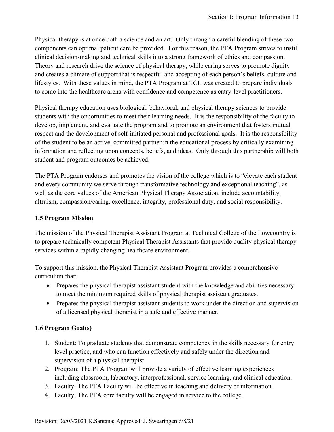Physical therapy is at once both a science and an art. Only through a careful blending of these two components can optimal patient care be provided. For this reason, the PTA Program strives to instill clinical decision-making and technical skills into a strong framework of ethics and compassion. Theory and research drive the science of physical therapy, while caring serves to promote dignity and creates a climate of support that is respectful and accepting of each person's beliefs, culture and lifestyles. With these values in mind, the PTA Program at TCL was created to prepare individuals to come into the healthcare arena with confidence and competence as entry-level practitioners.

Physical therapy education uses biological, behavioral, and physical therapy sciences to provide students with the opportunities to meet their learning needs. It is the responsibility of the faculty to develop, implement, and evaluate the program and to promote an environment that fosters mutual respect and the development of self-initiated personal and professional goals. It is the responsibility of the student to be an active, committed partner in the educational process by critically examining information and reflecting upon concepts, beliefs, and ideas. Only through this partnership will both student and program outcomes be achieved.

The PTA Program endorses and promotes the vision of the college which is to "elevate each student and every community we serve through transformative technology and exceptional teaching", as well as the core values of the American Physical Therapy Association, include accountability, altruism, compassion/caring, excellence, integrity, professional duty, and social responsibility.

#### **1.5 Program Mission**

The mission of the Physical Therapist Assistant Program at Technical College of the Lowcountry is to prepare technically competent Physical Therapist Assistants that provide quality physical therapy services within a rapidly changing healthcare environment.

To support this mission, the Physical Therapist Assistant Program provides a comprehensive curriculum that:

- Prepares the physical therapist assistant student with the knowledge and abilities necessary to meet the minimum required skills of physical therapist assistant graduates.
- Prepares the physical therapist assistant students to work under the direction and supervision of a licensed physical therapist in a safe and effective manner.

#### **1.6 Program Goal(s)**

- 1. Student: To graduate students that demonstrate competency in the skills necessary for entry level practice, and who can function effectively and safely under the direction and supervision of a physical therapist.
- 2. Program: The PTA Program will provide a variety of effective learning experiences including classroom, laboratory, interprofessional, service learning, and clinical education.
- 3. Faculty: The PTA Faculty will be effective in teaching and delivery of information.
- 4. Faculty: The PTA core faculty will be engaged in service to the college.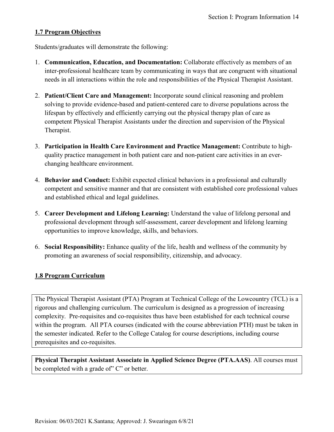#### **1.7 Program Objectives**

Students/graduates will demonstrate the following:

- 1. **Communication, Education, and Documentation:** Collaborate effectively as members of an inter-professional healthcare team by communicating in ways that are congruent with situational needs in all interactions within the role and responsibilities of the Physical Therapist Assistant.
- 2. **Patient/Client Care and Management:** Incorporate sound clinical reasoning and problem solving to provide evidence-based and patient-centered care to diverse populations across the lifespan by effectively and efficiently carrying out the physical therapy plan of care as competent Physical Therapist Assistants under the direction and supervision of the Physical Therapist.
- 3. **Participation in Health Care Environment and Practice Management:** Contribute to highquality practice management in both patient care and non-patient care activities in an everchanging healthcare environment.
- 4. **Behavior and Conduct:** Exhibit expected clinical behaviors in a professional and culturally competent and sensitive manner and that are consistent with established core professional values and established ethical and legal guidelines.
- 5. **Career Development and Lifelong Learning:** Understand the value of lifelong personal and professional development through self-assessment, career development and lifelong learning opportunities to improve knowledge, skills, and behaviors.
- 6. **Social Responsibility:** Enhance quality of the life, health and wellness of the community by promoting an awareness of social responsibility, citizenship, and advocacy.

#### **1.8 Program Curriculum**

The Physical Therapist Assistant (PTA) Program at Technical College of the Lowcountry (TCL) is a rigorous and challenging curriculum. The curriculum is designed as a progression of increasing complexity. Pre-requisites and co-requisites thus have been established for each technical course within the program. All PTA courses (indicated with the course abbreviation PTH) must be taken in the semester indicated. Refer to the College Catalog for course descriptions, including course prerequisites and co-requisites.

**Physical Therapist Assistant Associate in Applied Science Degree (PTA.AAS)**. All courses must be completed with a grade of" C" or better.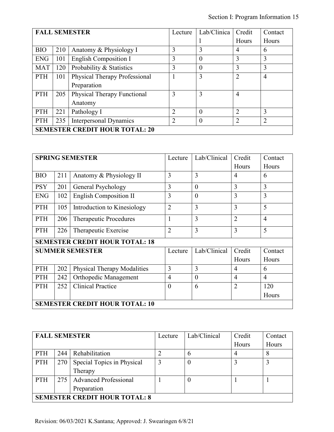|                                       | <b>FALL SEMESTER</b> |                                    |                | Lab/Clinica    | Credit         | Contact        |
|---------------------------------------|----------------------|------------------------------------|----------------|----------------|----------------|----------------|
|                                       |                      |                                    |                |                | Hours          | Hours          |
| <b>BIO</b>                            | 210                  | Anatomy & Physiology I             | 3              | 3              | $\overline{4}$ | 6              |
| <b>ENG</b>                            | 101                  | <b>English Composition I</b>       | 3              | $\theta$       | 3              | 3              |
| <b>MAT</b>                            | 120                  | Probability & Statistics           | 3              | $\theta$       | 3              | 3              |
| <b>PTH</b>                            | 101                  | Physical Therapy Professional      |                | 3              | $\overline{2}$ | $\overline{4}$ |
|                                       |                      | Preparation                        |                |                |                |                |
| <b>PTH</b>                            | 205                  | <b>Physical Therapy Functional</b> | 3              | 3              | $\overline{4}$ |                |
|                                       |                      | Anatomy                            |                |                |                |                |
| <b>PTH</b>                            | 221                  | Pathology I                        | $\overline{2}$ | $\theta$       | $\overline{2}$ | 3              |
| <b>PTH</b>                            | 235                  | <b>Interpersonal Dynamics</b>      | $\overline{2}$ | $\overline{0}$ | $\overline{2}$ | $\overline{2}$ |
| <b>SEMESTER CREDIT HOUR TOTAL: 20</b> |                      |                                    |                |                |                |                |

|                                       | <b>SPRING SEMESTER</b> |                                       | Lecture        | Lab/Clinical | Credit         | Contact        |
|---------------------------------------|------------------------|---------------------------------------|----------------|--------------|----------------|----------------|
|                                       |                        |                                       |                |              | Hours          | Hours          |
| <b>BIO</b>                            | 211                    | Anatomy & Physiology II               | 3              | 3            | 4              | 6              |
| <b>PSY</b>                            | 201                    | General Psychology                    | 3              | $\theta$     | 3              | 3              |
| <b>ENG</b>                            | 102                    | <b>English Composition II</b>         | 3              | $\theta$     | 3              | 3              |
| PTH                                   | 105                    | Introduction to Kinesiology           | $\overline{2}$ | 3            | 3              | 5              |
| PTH                                   | 206                    | Therapeutic Procedures                | 1              | 3            | $\overline{2}$ | $\overline{4}$ |
| PTH                                   | 226                    | Therapeutic Exercise                  | $\overline{2}$ | 3            | 3              | 5              |
|                                       |                        | <b>SEMESTER CREDIT HOUR TOTAL: 18</b> |                |              |                |                |
|                                       |                        | <b>SUMMER SEMESTER</b>                | Lecture        | Lab/Clinical | Credit         | Contact        |
|                                       |                        |                                       |                |              | Hours          | Hours          |
| <b>PTH</b>                            | 202                    | <b>Physical Therapy Modalities</b>    | 3              | 3            | $\overline{4}$ | 6              |
| PTH                                   | 242                    | Orthopedic Management                 | $\overline{4}$ | $\theta$     | 4              | $\overline{4}$ |
| <b>PTH</b>                            | 252                    | <b>Clinical Practice</b>              | $\theta$       | 6            | $\overline{2}$ | 120            |
|                                       |                        |                                       |                |              |                | Hours          |
| <b>SEMESTER CREDIT HOUR TOTAL: 10</b> |                        |                                       |                |              |                |                |

|                                      | <b>FALL SEMESTER</b> |                              | Lecture | Lab/Clinical | Credit | Contact |
|--------------------------------------|----------------------|------------------------------|---------|--------------|--------|---------|
|                                      |                      |                              |         |              | Hours  | Hours   |
| <b>PTH</b>                           | 244                  | Rehabilitation               |         | h            | 4      | 8       |
| <b>PTH</b>                           | 270                  | Special Topics in Physical   |         |              |        |         |
|                                      |                      | Therapy                      |         |              |        |         |
| <b>PTH</b>                           | $275 \text{ l}$      | <b>Advanced Professional</b> |         |              |        |         |
|                                      |                      | Preparation                  |         |              |        |         |
| <b>SEMESTER CREDIT HOUR TOTAL: 8</b> |                      |                              |         |              |        |         |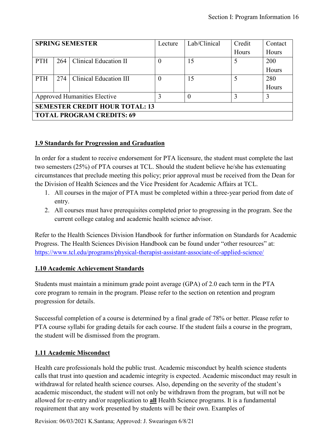|                                       | <b>SPRING SEMESTER</b> |                        |          | Lab/Clinical | Credit | Contact |
|---------------------------------------|------------------------|------------------------|----------|--------------|--------|---------|
|                                       |                        |                        |          |              | Hours  | Hours   |
| <b>PTH</b>                            | 264                    | Clinical Education II  | $\theta$ | 15           | 5      | 200     |
|                                       |                        |                        |          |              |        | Hours   |
| <b>PTH</b>                            | 274                    | Clinical Education III | $\theta$ | 15           | 5      | 280     |
|                                       |                        |                        |          |              |        | Hours   |
| <b>Approved Humanities Elective</b>   |                        |                        |          |              | 3      | 3       |
| <b>SEMESTER CREDIT HOUR TOTAL: 13</b> |                        |                        |          |              |        |         |
| <b>TOTAL PROGRAM CREDITS: 69</b>      |                        |                        |          |              |        |         |

#### **1.9 Standards for Progression and Graduation**

In order for a student to receive endorsement for PTA licensure, the student must complete the last two semesters (25%) of PTA courses at TCL. Should the student believe he/she has extenuating circumstances that preclude meeting this policy; prior approval must be received from the Dean for the Division of Health Sciences and the Vice President for Academic Affairs at TCL.

- 1. All courses in the major of PTA must be completed within a three-year period from date of entry.
- 2. All courses must have prerequisites completed prior to progressing in the program. See the current college catalog and academic health science advisor.

Refer to the Health Sciences Division Handbook for further information on Standards for Academic Progress. The Health Sciences Division Handbook can be found under "other resources" at: <https://www.tcl.edu/programs/physical-therapist-assistant-associate-of-applied-science/>

#### **1.10 Academic Achievement Standards**

Students must maintain a minimum grade point average (GPA) of 2.0 each term in the PTA core program to remain in the program. Please refer to the section on retention and program progression for details.

Successful completion of a course is determined by a final grade of 78% or better. Please refer to PTA course syllabi for grading details for each course. If the student fails a course in the program, the student will be dismissed from the program.

#### **1.11 Academic Misconduct**

Health care professionals hold the public trust. Academic misconduct by health science students calls that trust into question and academic integrity is expected. Academic misconduct may result in withdrawal for related health science courses. Also, depending on the severity of the student's academic misconduct, the student will not only be withdrawn from the program, but will not be allowed for re-entry and/or reapplication to **all** Health Science programs. It is a fundamental requirement that any work presented by students will be their own. Examples of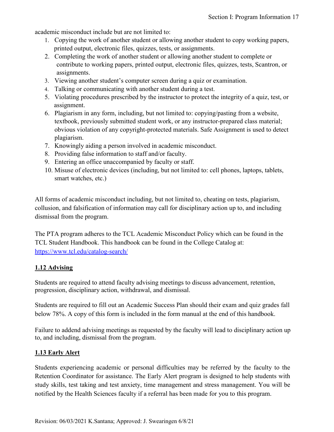academic misconduct include but are not limited to:

- 1. Copying the work of another student or allowing another student to copy working papers, printed output, electronic files, quizzes, tests, or assignments.
- 2. Completing the work of another student or allowing another student to complete or contribute to working papers, printed output, electronic files, quizzes, tests, Scantron, or assignments.
- 3. Viewing another student's computer screen during a quiz or examination.
- 4. Talking or communicating with another student during a test.
- 5. Violating procedures prescribed by the instructor to protect the integrity of a quiz, test, or assignment.
- 6. Plagiarism in any form, including, but not limited to: copying/pasting from a website, textbook, previously submitted student work, or any instructor-prepared class material; obvious violation of any copyright-protected materials. Safe Assignment is used to detect plagiarism.
- 7. Knowingly aiding a person involved in academic misconduct.
- 8. Providing false information to staff and/or faculty.
- 9. Entering an office unaccompanied by faculty or staff.
- 10. Misuse of electronic devices (including, but not limited to: cell phones, laptops, tablets, smart watches, etc.)

All forms of academic misconduct including, but not limited to, cheating on tests, plagiarism, collusion, and falsification of information may call for disciplinary action up to, and including dismissal from the program.

The PTA program adheres to the TCL Academic Misconduct Policy which can be found in the TCL Student Handbook. This handbook can be found in the College Catalog at: <https://www.tcl.edu/catalog-search/>

#### **1.12 Advising**

Students are required to attend faculty advising meetings to discuss advancement, retention, progression, disciplinary action, withdrawal, and dismissal.

Students are required to fill out an Academic Success Plan should their exam and quiz grades fall below 78%. A copy of this form is included in the form manual at the end of this handbook.

Failure to addend advising meetings as requested by the faculty will lead to disciplinary action up to, and including, dismissal from the program.

#### **1.13 Early Alert**

Students experiencing academic or personal difficulties may be referred by the faculty to the Retention Coordinator for assistance. The Early Alert program is designed to help students with study skills, test taking and test anxiety, time management and stress management. You will be notified by the Health Sciences faculty if a referral has been made for you to this program.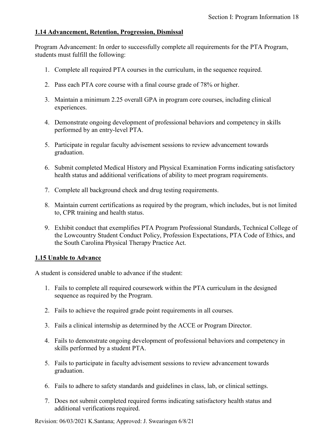#### **1.14 Advancement, Retention, Progression, Dismissal**

Program Advancement: In order to successfully complete all requirements for the PTA Program, students must fulfill the following:

- 1. Complete all required PTA courses in the curriculum, in the sequence required.
- 2. Pass each PTA core course with a final course grade of 78% or higher.
- 3. Maintain a minimum 2.25 overall GPA in program core courses, including clinical experiences.
- 4. Demonstrate ongoing development of professional behaviors and competency in skills performed by an entry-level PTA.
- 5. Participate in regular faculty advisement sessions to review advancement towards graduation.
- 6. Submit completed Medical History and Physical Examination Forms indicating satisfactory health status and additional verifications of ability to meet program requirements.
- 7. Complete all background check and drug testing requirements.
- 8. Maintain current certifications as required by the program, which includes, but is not limited to, CPR training and health status.
- 9. Exhibit conduct that exemplifies PTA Program Professional Standards, Technical College of the Lowcountry Student Conduct Policy, Profession Expectations, PTA Code of Ethics, and the South Carolina Physical Therapy Practice Act.

#### **1.15 Unable to Advance**

A student is considered unable to advance if the student:

- 1. Fails to complete all required coursework within the PTA curriculum in the designed sequence as required by the Program.
- 2. Fails to achieve the required grade point requirements in all courses.
- 3. Fails a clinical internship as determined by the ACCE or Program Director.
- 4. Fails to demonstrate ongoing development of professional behaviors and competency in skills performed by a student PTA.
- 5. Fails to participate in faculty advisement sessions to review advancement towards graduation.
- 6. Fails to adhere to safety standards and guidelines in class, lab, or clinical settings.
- 7. Does not submit completed required forms indicating satisfactory health status and additional verifications required.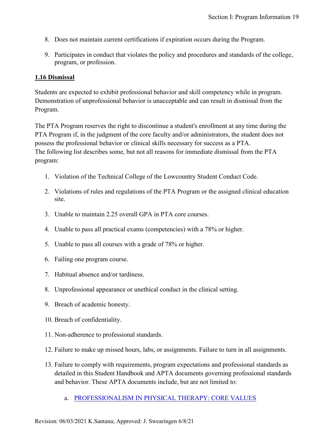- 8. Does not maintain current certifications if expiration occurs during the Program.
- 9. Participates in conduct that violates the policy and procedures and standards of the college, program, or profession.

#### **1.16 Dismissal**

Students are expected to exhibit professional behavior and skill competency while in program. Demonstration of unprofessional behavior is unacceptable and can result in dismissal from the Program.

The PTA Program reserves the right to discontinue a student's enrollment at any time during the PTA Program if, in the judgment of the core faculty and/or administrators, the student does not possess the professional behavior or clinical skills necessary for success as a PTA. The following list describes some, but not all reasons for immediate dismissal from the PTA program:

- 1. Violation of the Technical College of the Lowcountry Student Conduct Code.
- 2. Violations of rules and regulations of the PTA Program or the assigned clinical education site.
- 3. Unable to maintain 2.25 overall GPA in PTA core courses.
- 4. Unable to pass all practical exams (competencies) with a 78% or higher.
- 5. Unable to pass all courses with a grade of 78% or higher.
- 6. Failing one program course.
- 7. Habitual absence and/or tardiness.
- 8. Unprofessional appearance or unethical conduct in the clinical setting.
- 9. Breach of academic honesty.
- 10. Breach of confidentiality.
- 11. Non-adherence to professional standards.
- 12. Failure to make up missed hours, labs, or assignments. Failure to turn in all assignments.
- 13. Failure to comply with requirements, program expectations and professional standards as detailed in this Student Handbook and APTA documents governing professional standards and behavior. These APTA documents include, but are not limited to:
	- a. [PROFESSIONALISM IN PHYSICAL THERAPY: CORE VALUES](https://www.apta.org/apta-and-you/leadership-and-governance/policies/core-values-for-the-physical-therapist-and-physical-therapist-assistant)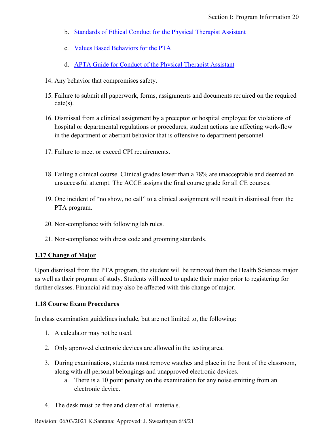- b. [Standards of Ethical Conduct for the Physical Therapist Assistant](https://www.apta.org/apta-and-you/leadership-and-governance/policies/standards-of-ethical-conduct-for-the-physical-therapist-assistant)
- c. [Values Based Behaviors for the PTA](https://www.apta.org/siteassets/pdfs/policies/values-based-behaviors-for-the-pta.pdf)
- d. [APTA Guide for Conduct of the Physical Therapist Assistant](https://www.apta.org/your-practice/ethics-and-professionalism/apta-guide-for-conduct-of-the-physical-therapist-assistant)
- 14. Any behavior that compromises safety.
- 15. Failure to submit all paperwork, forms, assignments and documents required on the required date(s).
- 16. Dismissal from a clinical assignment by a preceptor or hospital employee for violations of hospital or departmental regulations or procedures, student actions are affecting work-flow in the department or aberrant behavior that is offensive to department personnel.
- 17. Failure to meet or exceed CPI requirements.
- 18. Failing a clinical course. Clinical grades lower than a 78% are unacceptable and deemed an unsuccessful attempt. The ACCE assigns the final course grade for all CE courses.
- 19. One incident of "no show, no call" to a clinical assignment will result in dismissal from the PTA program.
- 20. Non-compliance with following lab rules.
- 21. Non-compliance with dress code and grooming standards.

#### **1.17 Change of Major**

Upon dismissal from the PTA program, the student will be removed from the Health Sciences major as well as their program of study. Students will need to update their major prior to registering for further classes. Financial aid may also be affected with this change of major.

#### **1.18 Course Exam Procedures**

In class examination guidelines include, but are not limited to, the following:

- 1. A calculator may not be used.
- 2. Only approved electronic devices are allowed in the testing area.
- 3. During examinations, students must remove watches and place in the front of the classroom, along with all personal belongings and unapproved electronic devices.
	- a. There is a 10 point penalty on the examination for any noise emitting from an electronic device.
- 4. The desk must be free and clear of all materials.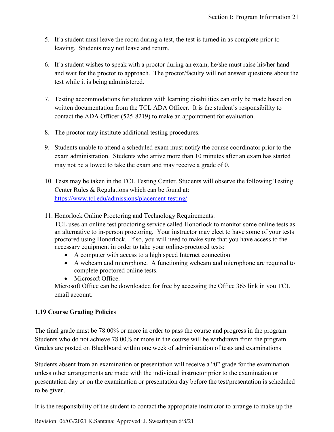- 5. If a student must leave the room during a test, the test is turned in as complete prior to leaving. Students may not leave and return.
- 6. If a student wishes to speak with a proctor during an exam, he/she must raise his/her hand and wait for the proctor to approach. The proctor/faculty will not answer questions about the test while it is being administered.
- 7. Testing accommodations for students with learning disabilities can only be made based on written documentation from the TCL ADA Officer. It is the student's responsibility to contact the ADA Officer (525-8219) to make an appointment for evaluation.
- 8. The proctor may institute additional testing procedures.
- 9. Students unable to attend a scheduled exam must notify the course coordinator prior to the exam administration. Students who arrive more than 10 minutes after an exam has started may not be allowed to take the exam and may receive a grade of 0.
- 10. Tests may be taken in the TCL Testing Center. Students will observe the following Testing Center Rules & Regulations which can be found at: [https://www.tcl.edu/admissions/placement-testing/.](https://www.tcl.edu/admissions/placement-testing/)
- 11. Honorlock Online Proctoring and Technology Requirements:

TCL uses an online test proctoring service called Honorlock to monitor some online tests as an alternative to in-person proctoring. Your instructor may elect to have some of your tests proctored using Honorlock. If so, you will need to make sure that you have access to the necessary equipment in order to take your online-proctored tests:

- A computer with access to a high speed Internet connection
- A webcam and microphone. A functioning webcam and microphone are required to complete proctored online tests.
- Microsoft Office.

Microsoft Office can be downloaded for free by accessing the Office 365 link in you TCL email account.

#### **1.19 Course Grading Policies**

The final grade must be 78.00% or more in order to pass the course and progress in the program. Students who do not achieve 78.00% or more in the course will be withdrawn from the program. Grades are posted on Blackboard within one week of administration of tests and examinations

Students absent from an examination or presentation will receive a "0" grade for the examination unless other arrangements are made with the individual instructor prior to the examination or presentation day or on the examination or presentation day before the test/presentation is scheduled to be given.

It is the responsibility of the student to contact the appropriate instructor to arrange to make up the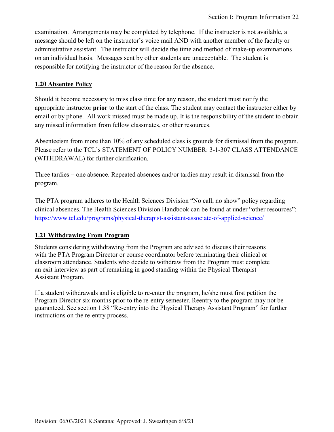examination. Arrangements may be completed by telephone. If the instructor is not available, a message should be left on the instructor's voice mail AND with another member of the faculty or administrative assistant. The instructor will decide the time and method of make-up examinations on an individual basis. Messages sent by other students are unacceptable. The student is responsible for notifying the instructor of the reason for the absence.

#### **1.20 Absentee Policy**

Should it become necessary to miss class time for any reason, the student must notify the appropriate instructor **prior** to the start of the class. The student may contact the instructor either by email or by phone. All work missed must be made up. It is the responsibility of the student to obtain any missed information from fellow classmates, or other resources.

Absenteeism from more than 10% of any scheduled class is grounds for dismissal from the program. Please refer to the TCL's STATEMENT OF POLICY NUMBER: 3-1-307 CLASS ATTENDANCE (WITHDRAWAL) for further clarification.

Three tardies = one absence. Repeated absences and/or tardies may result in dismissal from the program.

The PTA program adheres to the Health Sciences Division "No call, no show" policy regarding clinical absences. The Health Sciences Division Handbook can be found at under "other resources": <https://www.tcl.edu/programs/physical-therapist-assistant-associate-of-applied-science/>

#### **1.21 Withdrawing From Program**

Students considering withdrawing from the Program are advised to discuss their reasons with the PTA Program Director or course coordinator before terminating their clinical or classroom attendance. Students who decide to withdraw from the Program must complete an exit interview as part of remaining in good standing within the Physical Therapist Assistant Program.

If a student withdrawals and is eligible to re-enter the program, he/she must first petition the Program Director six months prior to the re-entry semester. Reentry to the program may not be guaranteed. See section 1.38 "Re-entry into the Physical Therapy Assistant Program" for further instructions on the re-entry process.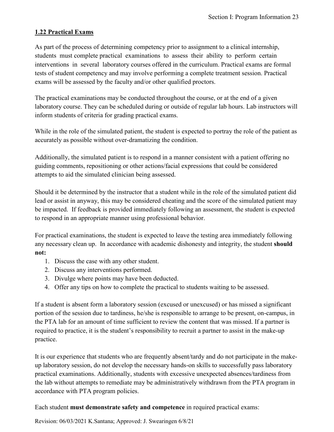### **1.22 Practical Exams**

As part of the process of determining competency prior to assignment to a clinical internship, students must complete practical examinations to assess their ability to perform certain interventions in several laboratory courses offered in the curriculum. Practical exams are formal tests of student competency and may involve performing a complete treatment session. Practical exams will be assessed by the faculty and/or other qualified proctors.

The practical examinations may be conducted throughout the course, or at the end of a given laboratory course. They can be scheduled during or outside of regular lab hours. Lab instructors will inform students of criteria for grading practical exams.

While in the role of the simulated patient, the student is expected to portray the role of the patient as accurately as possible without over-dramatizing the condition.

Additionally, the simulated patient is to respond in a manner consistent with a patient offering no guiding comments, repositioning or other actions/facial expressions that could be considered attempts to aid the simulated clinician being assessed.

Should it be determined by the instructor that a student while in the role of the simulated patient did lead or assist in anyway, this may be considered cheating and the score of the simulated patient may be impacted. If feedback is provided immediately following an assessment, the student is expected to respond in an appropriate manner using professional behavior.

For practical examinations, the student is expected to leave the testing area immediately following any necessary clean up. In accordance with academic dishonesty and integrity, the student **should not:**

- 1. Discuss the case with any other student.
- 2. Discuss any interventions performed.
- 3. Divulge where points may have been deducted.
- 4. Offer any tips on how to complete the practical to students waiting to be assessed.

If a student is absent form a laboratory session (excused or unexcused) or has missed a significant portion of the session due to tardiness, he/she is responsible to arrange to be present, on-campus, in the PTA lab for an amount of time sufficient to review the content that was missed. If a partner is required to practice, it is the student's responsibility to recruit a partner to assist in the make-up practice.

It is our experience that students who are frequently absent/tardy and do not participate in the makeup laboratory session, do not develop the necessary hands-on skills to successfully pass laboratory practical examinations. Additionally, students with excessive unexpected absences/tardiness from the lab without attempts to remediate may be administratively withdrawn from the PTA program in accordance with PTA program policies.

Each student **must demonstrate safety and competence** in required practical exams: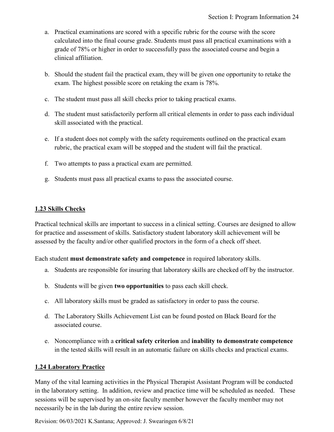- a. Practical examinations are scored with a specific rubric for the course with the score calculated into the final course grade. Students must pass all practical examinations with a grade of 78% or higher in order to successfully pass the associated course and begin a clinical affiliation.
- b. Should the student fail the practical exam, they will be given one opportunity to retake the exam. The highest possible score on retaking the exam is 78%.
- c. The student must pass all skill checks prior to taking practical exams.
- d. The student must satisfactorily perform all critical elements in order to pass each individual skill associated with the practical.
- e. If a student does not comply with the safety requirements outlined on the practical exam rubric, the practical exam will be stopped and the student will fail the practical.
- f. Two attempts to pass a practical exam are permitted.
- g. Students must pass all practical exams to pass the associated course.

### **1.23 Skills Checks**

Practical technical skills are important to success in a clinical setting. Courses are designed to allow for practice and assessment of skills. Satisfactory student laboratory skill achievement will be assessed by the faculty and/or other qualified proctors in the form of a check off sheet.

Each student **must demonstrate safety and competence** in required laboratory skills.

- a. Students are responsible for insuring that laboratory skills are checked off by the instructor.
- b. Students will be given **two opportunities** to pass each skill check.
- c. All laboratory skills must be graded as satisfactory in order to pass the course.
- d. The Laboratory Skills Achievement List can be found posted on Black Board for the associated course.
- e. Noncompliance with a **critical safety criterion** and **inability to demonstrate competence** in the tested skills will result in an automatic failure on skills checks and practical exams.

#### **1.24 Laboratory Practice**

Many of the vital learning activities in the Physical Therapist Assistant Program will be conducted in the laboratory setting. In addition, review and practice time will be scheduled as needed. These sessions will be supervised by an on-site faculty member however the faculty member may not necessarily be in the lab during the entire review session.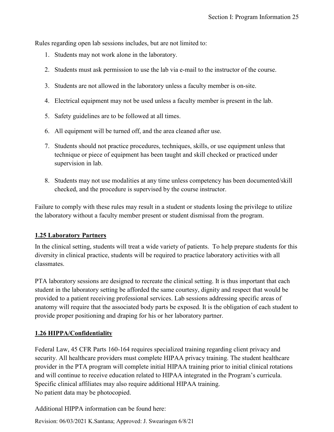Rules regarding open lab sessions includes, but are not limited to:

- 1. Students may not work alone in the laboratory.
- 2. Students must ask permission to use the lab via e-mail to the instructor of the course.
- 3. Students are not allowed in the laboratory unless a faculty member is on-site.
- 4. Electrical equipment may not be used unless a faculty member is present in the lab.
- 5. Safety guidelines are to be followed at all times.
- 6. All equipment will be turned off, and the area cleaned after use.
- 7. Students should not practice procedures, techniques, skills, or use equipment unless that technique or piece of equipment has been taught and skill checked or practiced under supervision in lab.
- 8. Students may not use modalities at any time unless competency has been documented/skill checked, and the procedure is supervised by the course instructor.

Failure to comply with these rules may result in a student or students losing the privilege to utilize the laboratory without a faculty member present or student dismissal from the program.

#### **1.25 Laboratory Partners**

In the clinical setting, students will treat a wide variety of patients. To help prepare students for this diversity in clinical practice, students will be required to practice laboratory activities with all classmates.

PTA laboratory sessions are designed to recreate the clinical setting. It is thus important that each student in the laboratory setting be afforded the same courtesy, dignity and respect that would be provided to a patient receiving professional services. Lab sessions addressing specific areas of anatomy will require that the associated body parts be exposed. It is the obligation of each student to provide proper positioning and draping for his or her laboratory partner.

#### **1.26 HIPPA/Confidentiality**

Federal Law, 45 CFR Parts 160-164 requires specialized training regarding client privacy and security. All healthcare providers must complete HIPAA privacy training. The student healthcare provider in the PTA program will complete initial HIPAA training prior to initial clinical rotations and will continue to receive education related to HIPAA integrated in the Program's curricula. Specific clinical affiliates may also require additional HIPAA training. No patient data may be photocopied.

Additional HIPPA information can be found here: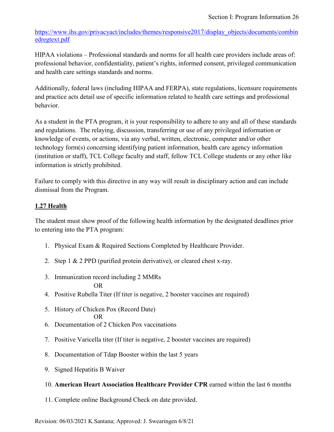[https://www.ihs.gov/privacyact/includes/themes/responsive2017/display\\_objects/documents/combin](https://www.ihs.gov/privacyact/includes/themes/responsive2017/display_objects/documents/combinedregtext.pdf) [edregtext.pdf](https://www.ihs.gov/privacyact/includes/themes/responsive2017/display_objects/documents/combinedregtext.pdf)

HIPAA violations – Professional standards and norms for all health care providers include areas of: professional behavior, confidentiality, patient's rights, informed consent, privileged communication and health care settings standards and norms.

Additionally, federal laws (including HIPAA and FERPA), state regulations, licensure requirements and practice acts detail use of specific information related to health care settings and professional behavior.

As a student in the PTA program, it is your responsibility to adhere to any and all of these standards and regulations. The relaying, discussion, transferring or use of any privileged information or knowledge of events, or actions, via any verbal, written, electronic, computer and/or other technology form(s) concerning identifying patient information, health care agency information (institution or staff), TCL College faculty and staff, fellow TCL College students or any other like information is strictly prohibited.

Failure to comply with this directive in any way will result in disciplinary action and can include dismissal from the Program.

## **1.27 Health**

The student must show proof of the following health information by the designated deadlines prior to entering into the PTA program:

- 1. Physical Exam & Required Sections Completed by Healthcare Provider.
- 2. Step 1 & 2 PPD (purified protein derivative), or cleared chest x-ray.
- 3. Immunization record including 2 MMRs

#### OR

- 4. Positive Rubella Titer (If titer is negative, 2 booster vaccines are required)
- 5. History of Chicken Pox (Record Date)
	- OR
- 6. Documentation of 2 Chicken Pox vaccinations
- 7. Positive Varicella titer (If titer is negative, 2 booster vaccines are required)
- 8. Documentation of Tdap Booster within the last 5 years
- 9. Signed Hepatitis B Waiver

#### 10. **American Heart Association Healthcare Provider CPR** earned within the last 6 months

11. Complete online Background Check on date provided.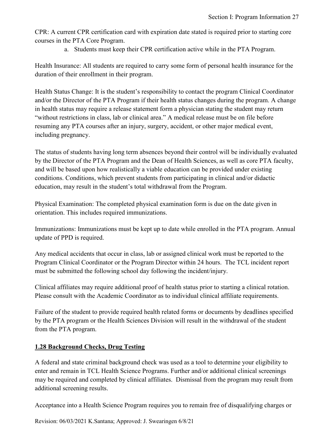CPR: A current CPR certification card with expiration date stated is required prior to starting core courses in the PTA Core Program.

a. Students must keep their CPR certification active while in the PTA Program.

Health Insurance: All students are required to carry some form of personal health insurance for the duration of their enrollment in their program.

Health Status Change: It is the student's responsibility to contact the program Clinical Coordinator and/or the Director of the PTA Program if their health status changes during the program. A change in health status may require a release statement form a physician stating the student may return "without restrictions in class, lab or clinical area." A medical release must be on file before resuming any PTA courses after an injury, surgery, accident, or other major medical event, including pregnancy.

The status of students having long term absences beyond their control will be individually evaluated by the Director of the PTA Program and the Dean of Health Sciences, as well as core PTA faculty, and will be based upon how realistically a viable education can be provided under existing conditions. Conditions, which prevent students from participating in clinical and/or didactic education, may result in the student's total withdrawal from the Program.

Physical Examination: The completed physical examination form is due on the date given in orientation. This includes required immunizations.

Immunizations: Immunizations must be kept up to date while enrolled in the PTA program. Annual update of PPD is required.

Any medical accidents that occur in class, lab or assigned clinical work must be reported to the Program Clinical Coordinator or the Program Director within 24 hours. The TCL incident report must be submitted the following school day following the incident/injury.

Clinical affiliates may require additional proof of health status prior to starting a clinical rotation. Please consult with the Academic Coordinator as to individual clinical affiliate requirements.

Failure of the student to provide required health related forms or documents by deadlines specified by the PTA program or the Health Sciences Division will result in the withdrawal of the student from the PTA program.

#### **1.28 Background Checks, Drug Testing**

A federal and state criminal background check was used as a tool to determine your eligibility to enter and remain in TCL Health Science Programs. Further and/or additional clinical screenings may be required and completed by clinical affiliates. Dismissal from the program may result from additional screening results.

Acceptance into a Health Science Program requires you to remain free of disqualifying charges or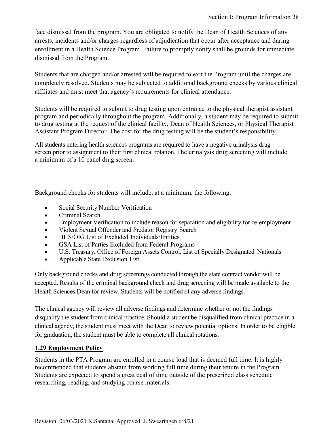face dismissal from the program. You are obligated to notify the Dean of Health Sciences of any arrests, incidents and/or charges regardless of adjudication that occur after acceptance and during enrollment in a Health Science Program. Failure to promptly notify shall be grounds for immediate dismissal from the Program.

Students that are charged and/or arrested will be required to exit the Program until the charges are completely resolved. Students may be subjected to additional background checks by various clinical affiliates and must meet that agency's requirements for clinical attendance.

Students will be required to submit to drug testing upon entrance to the physical therapist assistant program and periodically throughout the program. Additionally, a student may be required to submit to drug testing at the request of the clinical facility, Dean of Health Sciences, or Physical Therapist Assistant Program Director. The cost for the drug testing will be the student's responsibility.

All students entering health sciences programs are required to have a negative urinalysis drug screen prior to assignment to their first clinical rotation. The urinalysis drug screening will include a minimum of a 10 panel drug screen.

Background checks for students will include, at a minimum, the following:

- Social Security Number Verification
- Criminal Search
- Employment Verification to include reason for separation and eligibility for re-employment
- Violent Sexual Offender and Predator Registry Search
- HHS/OIG List of Excluded Individuals/Entities
- GSA List of Parties Excluded from Federal Programs
- U.S. Treasury, Office of Foreign Assets Control, List of Specially Designated Nationals
- Applicable State Exclusion List

Only background checks and drug screenings conducted through the state contract vendor will be accepted. Results of the criminal background check and drug screening will be made available to the Health Sciences Dean for review. Students will be notified of any adverse findings.

The clinical agency will review all adverse findings and determine whether or not the findings disqualify the student from clinical practice. Should a student be disqualified from clinical practice in a clinical agency, the student must meet with the Dean to review potential options. In order to be eligible for graduation, the student must be able to complete all clinical rotations.

#### **1.29 Employment Policy**

Students in the PTA Program are enrolled in a course load that is deemed full time. It is highly recommended that students abstain from working full time during their tenure in the Program. Students are expected to spend a great deal of time outside of the prescribed class schedule researching, reading, and studying course materials.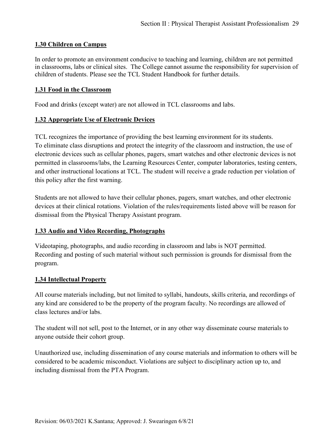#### **1.30 Children on Campus**

In order to promote an environment conducive to teaching and learning, children are not permitted in classrooms, labs or clinical sites. The College cannot assume the responsibility for supervision of children of students. Please see the TCL Student Handbook for further details.

#### **1.31 Food in the Classroom**

Food and drinks (except water) are not allowed in TCL classrooms and labs.

#### **1.32 Appropriate Use of Electronic Devices**

TCL recognizes the importance of providing the best learning environment for its students. To eliminate class disruptions and protect the integrity of the classroom and instruction, the use of electronic devices such as cellular phones, pagers, smart watches and other electronic devices is not permitted in classrooms/labs, the Learning Resources Center, computer laboratories, testing centers, and other instructional locations at TCL. The student will receive a grade reduction per violation of this policy after the first warning.

Students are not allowed to have their cellular phones, pagers, smart watches, and other electronic devices at their clinical rotations. Violation of the rules/requirements listed above will be reason for dismissal from the Physical Therapy Assistant program.

#### **1.33 Audio and Video Recording, Photographs**

Videotaping, photographs, and audio recording in classroom and labs is NOT permitted. Recording and posting of such material without such permission is grounds for dismissal from the program.

#### **1.34 Intellectual Property**

All course materials including, but not limited to syllabi, handouts, skills criteria, and recordings of any kind are considered to be the property of the program faculty. No recordings are allowed of class lectures and/or labs.

The student will not sell, post to the Internet, or in any other way disseminate course materials to anyone outside their cohort group.

Unauthorized use, including dissemination of any course materials and information to others will be considered to be academic misconduct. Violations are subject to disciplinary action up to, and including dismissal from the PTA Program.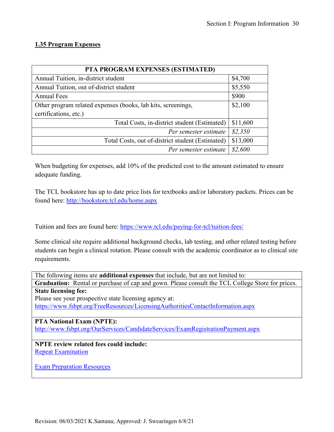## **1.35 Program Expenses**

| PTA PROGRAM EXPENSES (ESTIMATED)                             |          |  |  |
|--------------------------------------------------------------|----------|--|--|
| Annual Tuition, in-district student                          | \$4,700  |  |  |
| Annual Tuition, out of-district student                      | \$5,550  |  |  |
| <b>Annual Fees</b>                                           | \$900    |  |  |
| Other program related expenses (books, lab kits, screenings, | \$2,100  |  |  |
| certifications, etc.)                                        |          |  |  |
| Total Costs, in-district student (Estimated)                 | \$11,600 |  |  |
| Per semester estimate                                        | \$2,350  |  |  |
| Total Costs, out of-district student (Estimated)             | \$13,000 |  |  |
| Per semester estimate                                        | \$2,600  |  |  |

When budgeting for expenses, add 10% of the predicted cost to the amount estimated to ensure adequate funding.

The TCL bookstore has up to date price lists for textbooks and/or laboratory packets. Prices can be found here:<http://bookstore.tcl.edu/home.aspx>

Tuition and fees are found here:<https://www.tcl.edu/paying-for-tcl/tuition-fees/>

Some clinical site require additional background checks, lab testing, and other related testing before students can begin a clinical rotation. Please consult with the academic coordinator as to clinical site requirements.

The following items are **additional expenses** that include, but are not limited to: **Graduation:** Rental or purchase of cap and gown. Please consult the TCL College Store for prices. **State licensing fee:** Please see your prospective state licensing agency at: <https://www.fsbpt.org/FreeResources/LicensingAuthoritiesContactInformation.aspx> **PTA National Exam (NPTE):** <http://www.fsbpt.org/OurServices/CandidateServices/ExamRegistrationPayment.aspx> **NPTE review related fees could include:**  [Repeat Examination](https://www.fsbpt.org/ExamCandidates/NationalExam(NPTE)/PrepareforExam/PracticeExamAssessmentTool(PEAT).aspx) [Exam Preparation Resources](http://www.apta.org/Licensure/ExamPreparation/)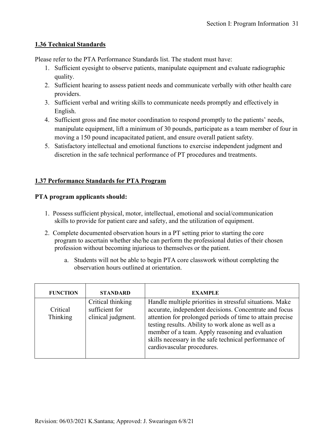#### **1.36 Technical Standards**

Please refer to the PTA Performance Standards list. The student must have:

- 1. Sufficient eyesight to observe patients, manipulate equipment and evaluate radiographic quality.
- 2. Sufficient hearing to assess patient needs and communicate verbally with other health care providers.
- 3. Sufficient verbal and writing skills to communicate needs promptly and effectively in English.
- 4. Sufficient gross and fine motor coordination to respond promptly to the patients' needs, manipulate equipment, lift a minimum of 30 pounds, participate as a team member of four in moving a 150 pound incapacitated patient, and ensure overall patient safety.
- 5. Satisfactory intellectual and emotional functions to exercise independent judgment and discretion in the safe technical performance of PT procedures and treatments.

### **1.37 Performance Standards for PTA Program**

#### **PTA program applicants should:**

- 1. Possess sufficient physical, motor, intellectual, emotional and social/communication skills to provide for patient care and safety, and the utilization of equipment.
- 2. Complete documented observation hours in a PT setting prior to starting the core program to ascertain whether she/he can perform the professional duties of their chosen profession without becoming injurious to themselves or the patient.
	- a. Students will not be able to begin PTA core classwork without completing the observation hours outlined at orientation.

| <b>FUNCTION</b>      | <b>STANDARD</b>                                           | <b>EXAMPLE</b>                                                                                                                                                                                                                                                                                                                                                                    |
|----------------------|-----------------------------------------------------------|-----------------------------------------------------------------------------------------------------------------------------------------------------------------------------------------------------------------------------------------------------------------------------------------------------------------------------------------------------------------------------------|
| Critical<br>Thinking | Critical thinking<br>sufficient for<br>clinical judgment. | Handle multiple priorities in stressful situations. Make<br>accurate, independent decisions. Concentrate and focus<br>attention for prolonged periods of time to attain precise<br>testing results. Ability to work alone as well as a<br>member of a team. Apply reasoning and evaluation<br>skills necessary in the safe technical performance of<br>cardiovascular procedures. |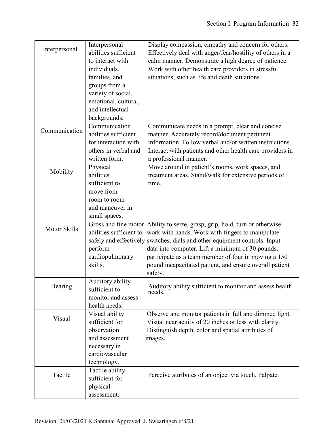|               | Interpersonal                     | Display compassion, empathy and concern for others.                |
|---------------|-----------------------------------|--------------------------------------------------------------------|
| Interpersonal | abilities sufficient              | Effectively deal with anger/fear/hostility of others in a          |
|               | to interact with                  | calm manner. Demonstrate a high degree of patience.                |
|               | individuals,                      | Work with other health care providers in stressful                 |
|               | families, and                     | situations, such as life and death situations.                     |
|               | groups from a                     |                                                                    |
|               | variety of social,                |                                                                    |
|               | emotional, cultural,              |                                                                    |
|               | and intellectual                  |                                                                    |
|               | backgrounds.                      |                                                                    |
|               | Communication                     | Communicate needs in a prompt, clear and concise                   |
| Communication | abilities sufficient              | manner. Accurately record/document pertinent                       |
|               | for interaction with              | information. Follow verbal and/or written instructions.            |
|               | others in verbal and              | Interact with patients and other health care providers in          |
|               | written form.                     | a professional manner.                                             |
|               | Physical                          | Move around in patient's rooms, work spaces, and                   |
| Mobility      | abilities                         | treatment areas. Stand/walk for extensive periods of               |
|               | sufficient to                     | time.                                                              |
|               | move from                         |                                                                    |
|               | room to room                      |                                                                    |
|               | and maneuver in                   |                                                                    |
|               | small spaces.                     |                                                                    |
|               | Gross and fine motor              | Ability to seize, grasp, grip, hold, turn or otherwise             |
| Motor Skills  | abilities sufficient to           | work with hands. Work with fingers to manipulate                   |
|               | safely and effectively            | switches, dials and other equipment controls. Input                |
|               | perform                           | data into computer. Lift a minimum of 30 pounds,                   |
|               | cardiopulmonary                   | participate as a team member of four in moving a 150               |
|               | skills.                           |                                                                    |
|               |                                   | pound incapacitated patient, and ensure overall patient<br>safety. |
|               |                                   |                                                                    |
| Hearing       | Auditory ability<br>sufficient to | Auditory ability sufficient to monitor and assess health           |
|               | monitor and assess                | needs.                                                             |
|               | health needs.                     |                                                                    |
|               | Visual ability                    | Observe and monitor patients in full and dimmed light.             |
| Visual        | sufficient for                    |                                                                    |
|               |                                   | Visual near acuity of 20 inches or less with clarity.              |
|               | observation                       | Distinguish depth, color and spatial attributes of                 |
|               | and assessment                    | images.                                                            |
|               | necessary in                      |                                                                    |
|               | cardiovascular                    |                                                                    |
|               | technology.                       |                                                                    |
| Tactile       | Tactile ability                   | Perceive attributes of an object via touch. Palpate.               |
|               | sufficient for                    |                                                                    |
|               | physical                          |                                                                    |
|               | assessment.                       |                                                                    |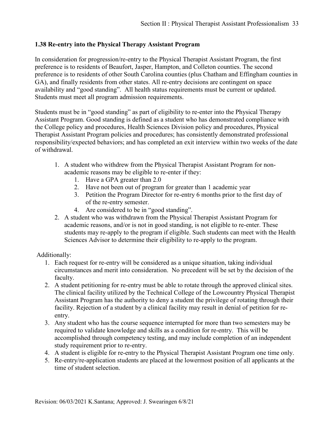#### **1.38 Re-entry into the Physical Therapy Assistant Program**

In consideration for progression/re-entry to the Physical Therapist Assistant Program, the first preference is to residents of Beaufort, Jasper, Hampton, and Colleton counties. The second preference is to residents of other South Carolina counties (plus Chatham and Effingham counties in GA), and finally residents from other states. All re-entry decisions are contingent on space availability and "good standing". All health status requirements must be current or updated. Students must meet all program admission requirements.

Students must be in "good standing" as part of eligibility to re-enter into the Physical Therapy Assistant Program. Good standing is defined as a student who has demonstrated compliance with the College policy and procedures, Health Sciences Division policy and procedures, Physical Therapist Assistant Program policies and procedures; has consistently demonstrated professional responsibility/expected behaviors; and has completed an exit interview within two weeks of the date of withdrawal.

- 1. A student who withdrew from the Physical Therapist Assistant Program for nonacademic reasons may be eligible to re-enter if they:
	- 1. Have a GPA greater than 2.0
	- 2. Have not been out of program for greater than 1 academic year
	- 3. Petition the Program Director for re-entry 6 months prior to the first day of of the re-entry semester.
	- 4. Are considered to be in "good standing".
- 2. A student who was withdrawn from the Physical Therapist Assistant Program for academic reasons, and/or is not in good standing, is not eligible to re-enter. These students may re-apply to the program if eligible. Such students can meet with the Health Sciences Advisor to determine their eligibility to re-apply to the program.

Additionally:

- 1. Each request for re-entry will be considered as a unique situation, taking individual circumstances and merit into consideration. No precedent will be set by the decision of the faculty.
- 2. A student petitioning for re-entry must be able to rotate through the approved clinical sites. The clinical facility utilized by the Technical College of the Lowcountry Physical Therapist Assistant Program has the authority to deny a student the privilege of rotating through their facility. Rejection of a student by a clinical facility may result in denial of petition for reentry.
- 3. Any student who has the course sequence interrupted for more than two semesters may be required to validate knowledge and skills as a condition for re-entry. This will be accomplished through competency testing, and may include completion of an independent study requirement prior to re-entry.
- 4. A student is eligible for re-entry to the Physical Therapist Assistant Program one time only.
- 5. Re-entry/re-application students are placed at the lowermost position of all applicants at the time of student selection.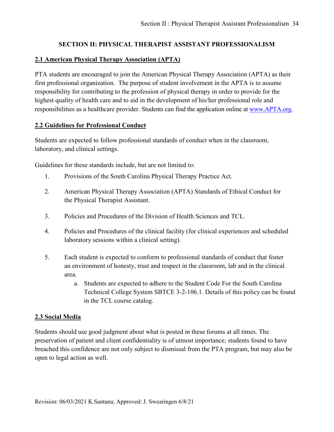#### **SECTION II: PHYSICAL THERAPIST ASSISTANT PROFESSIONALISM**

#### **2.1 American Physical Therapy Association (APTA)**

PTA students are encouraged to join the American Physical Therapy Association (APTA) as their first professional organization. The purpose of student involvement in the APTA is to assume responsibility for contributing to the profession of physical therapy in order to provide for the highest quality of health care and to aid in the development of his/her professional role and responsibilities as a healthcare provider. Students can find the application online at [www.APTA.org.](http://www.apta.org/)

#### **2.2 Guidelines for Professional Conduct**

Students are expected to follow professional standards of conduct when in the classroom, laboratory, and clinical settings.

Guidelines for these standards include, but are not limited to:

- 1. Provisions of the South Carolina Physical Therapy Practice Act.
- 2. American Physical Therapy Association (APTA) Standards of Ethical Conduct for the Physical Therapist Assistant.
- 3. Policies and Procedures of the Division of Health Sciences and TCL.
- 4. Policies and Procedures of the clinical facility (for clinical experiences and scheduled laboratory sessions within a clinical setting).
- 5. Each student is expected to conform to professional standards of conduct that foster an environment of honesty, trust and respect in the classroom, lab and in the clinical area.
	- a. Students are expected to adhere to the Student Code For the South Carolina Technical College System SBTCE 3-2-106.1. Details of this policy can be found in the TCL course catalog.

#### **2.3 Social Media**

Students should use good judgment about what is posted in these forums at all times. The preservation of patient and client confidentiality is of utmost importance; students found to have breached this confidence are not only subject to dismissal from the PTA program, but may also be open to legal action as well.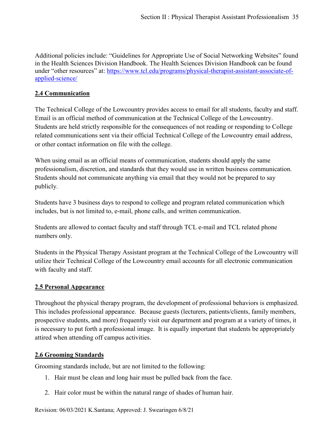Additional policies include: "Guidelines for Appropriate Use of Social Networking Websites" found in the Health Sciences Division Handbook. The Health Sciences Division Handbook can be found under "other resources" at: [https://www.tcl.edu/programs/physical-therapist-assistant-associate-of](https://www.tcl.edu/programs/physical-therapist-assistant-associate-of-applied-science/)[applied-science/](https://www.tcl.edu/programs/physical-therapist-assistant-associate-of-applied-science/)

## **2.4 Communication**

The Technical College of the Lowcountry provides access to email for all students, faculty and staff. Email is an official method of communication at the Technical College of the Lowcountry. Students are held strictly responsible for the consequences of not reading or responding to College related communications sent via their official Technical College of the Lowcountry email address, or other contact information on file with the college.

When using email as an official means of communication, students should apply the same professionalism, discretion, and standards that they would use in written business communication. Students should not communicate anything via email that they would not be prepared to say publicly.

Students have 3 business days to respond to college and program related communication which includes, but is not limited to, e-mail, phone calls, and written communication.

Students are allowed to contact faculty and staff through TCL e-mail and TCL related phone numbers only.

Students in the Physical Therapy Assistant program at the Technical College of the Lowcountry will utilize their Technical College of the Lowcountry email accounts for all electronic communication with faculty and staff.

#### **2.5 Personal Appearance**

Throughout the physical therapy program, the development of professional behaviors is emphasized. This includes professional appearance. Because guests (lecturers, patients/clients, family members, prospective students, and more) frequently visit our department and program at a variety of times, it is necessary to put forth a professional image. It is equally important that students be appropriately attired when attending off campus activities.

#### **2.6 Grooming Standards**

Grooming standards include, but are not limited to the following:

- 1. Hair must be clean and long hair must be pulled back from the face.
- 2. Hair color must be within the natural range of shades of human hair.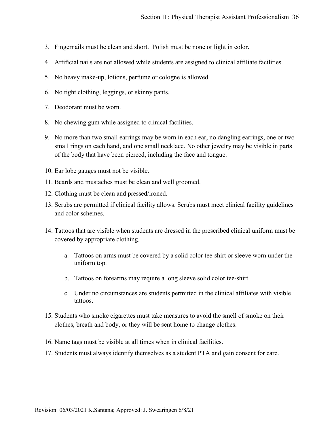- 3. Fingernails must be clean and short. Polish must be none or light in color.
- 4. Artificial nails are not allowed while students are assigned to clinical affiliate facilities.
- 5. No heavy make-up, lotions, perfume or cologne is allowed.
- 6. No tight clothing, leggings, or skinny pants.
- 7. Deodorant must be worn.
- 8. No chewing gum while assigned to clinical facilities.
- 9. No more than two small earrings may be worn in each ear, no dangling earrings, one or two small rings on each hand, and one small necklace. No other jewelry may be visible in parts of the body that have been pierced, including the face and tongue.
- 10. Ear lobe gauges must not be visible.
- 11. Beards and mustaches must be clean and well groomed.
- 12. Clothing must be clean and pressed/ironed.
- 13. Scrubs are permitted if clinical facility allows. Scrubs must meet clinical facility guidelines and color schemes.
- 14. Tattoos that are visible when students are dressed in the prescribed clinical uniform must be covered by appropriate clothing.
	- a. Tattoos on arms must be covered by a solid color tee-shirt or sleeve worn under the uniform top.
	- b. Tattoos on forearms may require a long sleeve solid color tee-shirt.
	- c. Under no circumstances are students permitted in the clinical affiliates with visible tattoos.
- 15. Students who smoke cigarettes must take measures to avoid the smell of smoke on their clothes, breath and body, or they will be sent home to change clothes.
- 16. Name tags must be visible at all times when in clinical facilities.
- 17. Students must always identify themselves as a student PTA and gain consent for care.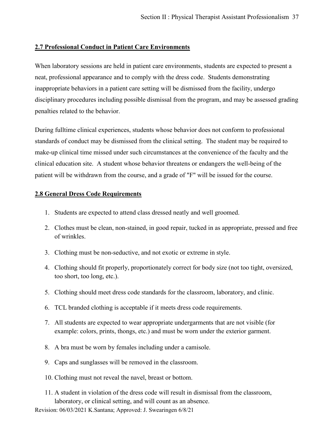### **2.7 Professional Conduct in Patient Care Environments**

When laboratory sessions are held in patient care environments, students are expected to present a neat, professional appearance and to comply with the dress code. Students demonstrating inappropriate behaviors in a patient care setting will be dismissed from the facility, undergo disciplinary procedures including possible dismissal from the program, and may be assessed grading penalties related to the behavior.

During fulltime clinical experiences, students whose behavior does not conform to professional standards of conduct may be dismissed from the clinical setting. The student may be required to make-up clinical time missed under such circumstances at the convenience of the faculty and the clinical education site. A student whose behavior threatens or endangers the well-being of the patient will be withdrawn from the course, and a grade of "F" will be issued for the course.

#### **2.8 General Dress Code Requirements**

- 1. Students are expected to attend class dressed neatly and well groomed.
- 2. Clothes must be clean, non-stained, in good repair, tucked in as appropriate, pressed and free of wrinkles.
- 3. Clothing must be non-seductive, and not exotic or extreme in style.
- 4. Clothing should fit properly, proportionately correct for body size (not too tight, oversized, too short, too long, etc.).
- 5. Clothing should meet dress code standards for the classroom, laboratory, and clinic.
- 6. TCL branded clothing is acceptable if it meets dress code requirements.
- 7. All students are expected to wear appropriate undergarments that are not visible (for example: colors, prints, thongs, etc.) and must be worn under the exterior garment.
- 8. A bra must be worn by females including under a camisole.
- 9. Caps and sunglasses will be removed in the classroom.
- 10. Clothing must not reveal the navel, breast or bottom.
- 11. A student in violation of the dress code will result in dismissal from the classroom, laboratory, or clinical setting, and will count as an absence.
- Revision: 06/03/2021 K.Santana; Approved: J. Swearingen 6/8/21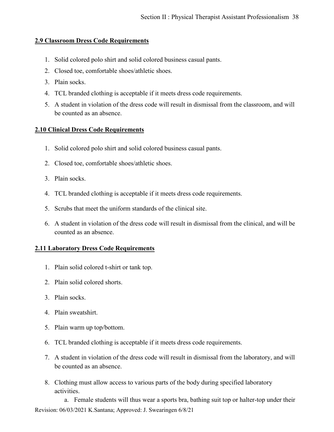### **2.9 Classroom Dress Code Requirements**

- 1. Solid colored polo shirt and solid colored business casual pants.
- 2. Closed toe, comfortable shoes/athletic shoes.
- 3. Plain socks.
- 4. TCL branded clothing is acceptable if it meets dress code requirements.
- 5. A student in violation of the dress code will result in dismissal from the classroom, and will be counted as an absence.

### **2.10 Clinical Dress Code Requirements**

- 1. Solid colored polo shirt and solid colored business casual pants.
- 2. Closed toe, comfortable shoes/athletic shoes.
- 3. Plain socks.
- 4. TCL branded clothing is acceptable if it meets dress code requirements.
- 5. Scrubs that meet the uniform standards of the clinical site.
- 6. A student in violation of the dress code will result in dismissal from the clinical, and will be counted as an absence.

### **2.11 Laboratory Dress Code Requirements**

- 1. Plain solid colored t-shirt or tank top.
- 2. Plain solid colored shorts.
- 3. Plain socks.
- 4. Plain sweatshirt.
- 5. Plain warm up top/bottom.
- 6. TCL branded clothing is acceptable if it meets dress code requirements.
- 7. A student in violation of the dress code will result in dismissal from the laboratory, and will be counted as an absence.
- 8. Clothing must allow access to various parts of the body during specified laboratory activities.

Revision: 06/03/2021 K.Santana; Approved: J. Swearingen 6/8/21 a. Female students will thus wear a sports bra, bathing suit top or halter-top under their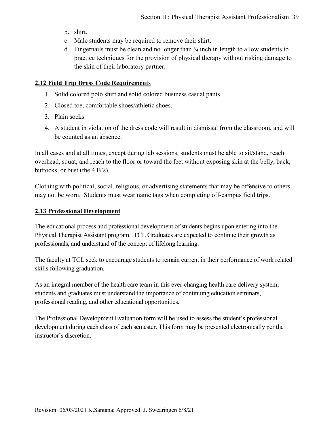- b. shirt.
- c. Male students may be required to remove their shirt.
- d. Fingernails must be clean and no longer than  $\frac{1}{4}$  inch in length to allow students to practice techniques for the provision of physical therapy without risking damage to the skin of their laboratory partner.

## **2.12 Field Trip Dress Code Requirements**

- 1. Solid colored polo shirt and solid colored business casual pants.
- 2. Closed toe, comfortable shoes/athletic shoes.
- 3. Plain socks.
- 4. A student in violation of the dress code will result in dismissal from the classroom, and will be counted as an absence.

In all cases and at all times, except during lab sessions, students must be able to sit/stand, reach overhead, squat, and reach to the floor or toward the feet without exposing skin at the belly, back, buttocks, or bust (the 4 B's).

Clothing with political, social, religious, or advertising statements that may be offensive to others may not be worn. Students must wear name tags when completing off-campus field trips.

### **2.13 Professional Development**

The educational process and professional development of students begins upon entering into the Physical Therapist Assistant program. TCL Graduates are expected to continue their growth as professionals, and understand of the concept of lifelong learning.

The faculty at TCL seek to encourage students to remain current in their performance of work related skills following graduation.

As an integral member of the health care team in this ever-changing health care delivery system, students and graduates must understand the importance of continuing education seminars, professional reading, and other educational opportunities.

The Professional Development Evaluation form will be used to assess the student's professional development during each class of each semester. This form may be presented electronically per the instructor's discretion.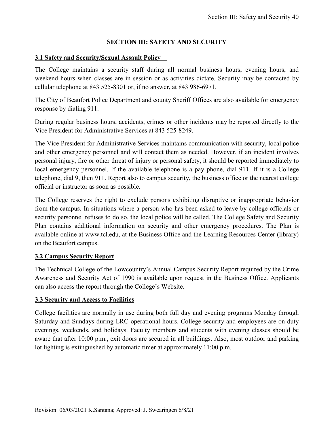# **SECTION III: SAFETY AND SECURITY**

## **3.1 Safety and Security/Sexual Assault Policy**

The College maintains a security staff during all normal business hours, evening hours, and weekend hours when classes are in session or as activities dictate. Security may be contacted by cellular telephone at 843 525-8301 or, if no answer, at 843 986-6971.

The City of Beaufort Police Department and county Sheriff Offices are also available for emergency response by dialing 911.

During regular business hours, accidents, crimes or other incidents may be reported directly to the Vice President for Administrative Services at 843 525-8249.

The Vice President for Administrative Services maintains communication with security, local police and other emergency personnel and will contact them as needed. However, if an incident involves personal injury, fire or other threat of injury or personal safety, it should be reported immediately to local emergency personnel. If the available telephone is a pay phone, dial 911. If it is a College telephone, dial 9, then 911. Report also to campus security, the business office or the nearest college official or instructor as soon as possible.

The College reserves the right to exclude persons exhibiting disruptive or inappropriate behavior from the campus. In situations where a person who has been asked to leave by college officials or security personnel refuses to do so, the local police will be called. The College Safety and Security Plan contains additional information on security and other emergency procedures. The Plan is available online at www.tcl.edu, at the Business Office and the Learning Resources Center (library) on the Beaufort campus.

# **3.2 Campus Security Report**

The Technical College of the Lowcountry's Annual Campus Security Report required by the Crime Awareness and Security Act of 1990 is available upon request in the Business Office. Applicants can also access the report through the College's Website.

### **3.3 Security and Access to Facilities**

College facilities are normally in use during both full day and evening programs Monday through Saturday and Sundays during LRC operational hours. College security and employees are on duty evenings, weekends, and holidays. Faculty members and students with evening classes should be aware that after 10:00 p.m., exit doors are secured in all buildings. Also, most outdoor and parking lot lighting is extinguished by automatic timer at approximately 11:00 p.m.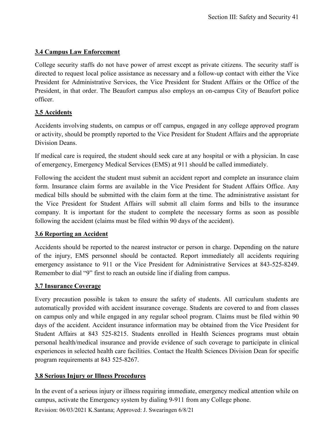## **3.4 Campus Law Enforcement**

College security staffs do not have power of arrest except as private citizens. The security staff is directed to request local police assistance as necessary and a follow-up contact with either the Vice President for Administrative Services, the Vice President for Student Affairs or the Office of the President, in that order. The Beaufort campus also employs an on-campus City of Beaufort police officer.

# **3.5 Accidents**

Accidents involving students, on campus or off campus, engaged in any college approved program or activity, should be promptly reported to the Vice President for Student Affairs and the appropriate Division Deans.

If medical care is required, the student should seek care at any hospital or with a physician. In case of emergency, Emergency Medical Services (EMS) at 911 should be called immediately.

Following the accident the student must submit an accident report and complete an insurance claim form. Insurance claim forms are available in the Vice President for Student Affairs Office. Any medical bills should be submitted with the claim form at the time. The administrative assistant for the Vice President for Student Affairs will submit all claim forms and bills to the insurance company. It is important for the student to complete the necessary forms as soon as possible following the accident (claims must be filed within 90 days of the accident).

# **3.6 Reporting an Accident**

Accidents should be reported to the nearest instructor or person in charge. Depending on the nature of the injury, EMS personnel should be contacted. Report immediately all accidents requiring emergency assistance to 911 or the Vice President for Administrative Services at 843-525-8249. Remember to dial "9" first to reach an outside line if dialing from campus.

# **3.7 Insurance Coverage**

Every precaution possible is taken to ensure the safety of students. All curriculum students are automatically provided with accident insurance coverage. Students are covered to and from classes on campus only and while engaged in any regular school program. Claims must be filed within 90 days of the accident. Accident insurance information may be obtained from the Vice President for Student Affairs at 843 525-8215. Students enrolled in Health Sciences programs must obtain personal health/medical insurance and provide evidence of such coverage to participate in clinical experiences in selected health care facilities. Contact the Health Sciences Division Dean for specific program requirements at 843 525-8267.

# **3.8 Serious Injury or Illness Procedures**

In the event of a serious injury or illness requiring immediate, emergency medical attention while on campus, activate the Emergency system by dialing 9-911 from any College phone.

Revision: 06/03/2021 K.Santana; Approved: J. Swearingen 6/8/21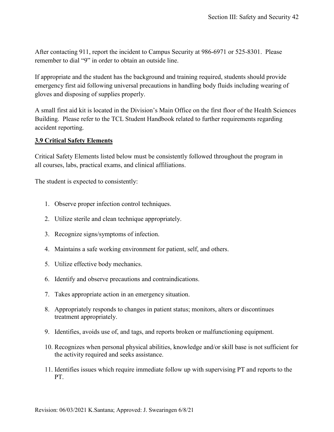After contacting 911, report the incident to Campus Security at 986-6971 or 525-8301. Please remember to dial "9" in order to obtain an outside line.

If appropriate and the student has the background and training required, students should provide emergency first aid following universal precautions in handling body fluids including wearing of gloves and disposing of supplies properly.

A small first aid kit is located in the Division's Main Office on the first floor of the Health Sciences Building. Please refer to the TCL Student Handbook related to further requirements regarding accident reporting.

## **3.9 Critical Safety Elements**

Critical Safety Elements listed below must be consistently followed throughout the program in all courses, labs, practical exams, and clinical affiliations.

The student is expected to consistently:

- 1. Observe proper infection control techniques.
- 2. Utilize sterile and clean technique appropriately.
- 3. Recognize signs/symptoms of infection.
- 4. Maintains a safe working environment for patient, self, and others.
- 5. Utilize effective body mechanics.
- 6. Identify and observe precautions and contraindications.
- 7. Takes appropriate action in an emergency situation.
- 8. Appropriately responds to changes in patient status; monitors, alters or discontinues treatment appropriately.
- 9. Identifies, avoids use of, and tags, and reports broken or malfunctioning equipment.
- 10. Recognizes when personal physical abilities, knowledge and/or skill base is not sufficient for the activity required and seeks assistance.
- 11. Identifies issues which require immediate follow up with supervising PT and reports to the PT.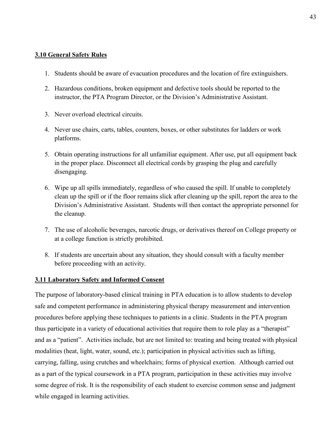### **3.10 General Safety Rules**

- 1. Students should be aware of evacuation procedures and the location of fire extinguishers.
- 2. Hazardous conditions, broken equipment and defective tools should be reported to the instructor, the PTA Program Director, or the Division's Administrative Assistant.
- 3. Never overload electrical circuits.
- 4. Never use chairs, carts, tables, counters, boxes, or other substitutes for ladders or work platforms.
- 5. Obtain operating instructions for all unfamiliar equipment. After use, put all equipment back in the proper place. Disconnect all electrical cords by grasping the plug and carefully disengaging.
- 6. Wipe up all spills immediately, regardless of who caused the spill. If unable to completely clean up the spill or if the floor remains slick after cleaning up the spill, report the area to the Division's Administrative Assistant. Students will then contact the appropriate personnel for the cleanup.
- 7. The use of alcoholic beverages, narcotic drugs, or derivatives thereof on College property or at a college function is strictly prohibited.
- 8. If students are uncertain about any situation, they should consult with a faculty member before proceeding with an activity.

### **3.11 Laboratory Safety and Informed Consent**

The purpose of laboratory-based clinical training in PTA education is to allow students to develop safe and competent performance in administering physical therapy measurement and intervention procedures before applying these techniques to patients in a clinic. Students in the PTA program thus participate in a variety of educational activities that require them to role play as a "therapist" and as a "patient". Activities include, but are not limited to: treating and being treated with physical modalities (heat, light, water, sound, etc.); participation in physical activities such as lifting, carrying, falling, using crutches and wheelchairs; forms of physical exertion. Although carried out as a part of the typical coursework in a PTA program, participation in these activities may involve some degree of risk. It is the responsibility of each student to exercise common sense and judgment while engaged in learning activities.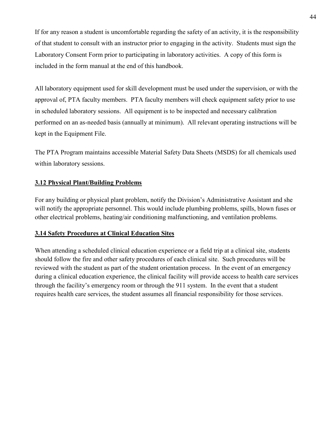If for any reason a student is uncomfortable regarding the safety of an activity, it is the responsibility of that student to consult with an instructor prior to engaging in the activity. Students must sign the Laboratory Consent Form prior to participating in laboratory activities. A copy of this form is included in the form manual at the end of this handbook.

All laboratory equipment used for skill development must be used under the supervision, or with the approval of, PTA faculty members. PTA faculty members will check equipment safety prior to use in scheduled laboratory sessions. All equipment is to be inspected and necessary calibration performed on an as-needed basis (annually at minimum). All relevant operating instructions will be kept in the Equipment File.

The PTA Program maintains accessible Material Safety Data Sheets (MSDS) for all chemicals used within laboratory sessions.

# **3.12 Physical Plant/Building Problems**

For any building or physical plant problem, notify the Division's Administrative Assistant and she will notify the appropriate personnel. This would include plumbing problems, spills, blown fuses or other electrical problems, heating/air conditioning malfunctioning, and ventilation problems.

# **3.14 Safety Procedures at Clinical Education Sites**

When attending a scheduled clinical education experience or a field trip at a clinical site, students should follow the fire and other safety procedures of each clinical site. Such procedures will be reviewed with the student as part of the student orientation process. In the event of an emergency during a clinical education experience, the clinical facility will provide access to health care services through the facility's emergency room or through the 911 system. In the event that a student requires health care services, the student assumes all financial responsibility for those services.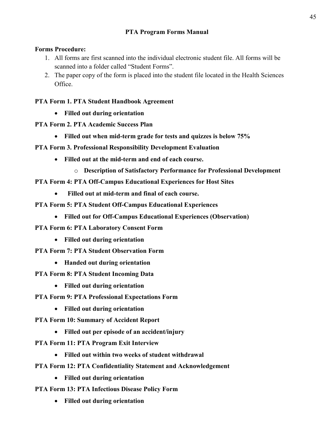# **PTA Program Forms Manual**

# **Forms Procedure:**

- 1. All forms are first scanned into the individual electronic student file. All forms will be scanned into a folder called "Student Forms".
- 2. The paper copy of the form is placed into the student file located in the Health Sciences Office.

# **PTA Form 1. PTA Student Handbook Agreement**

- **Filled out during orientation**
- **PTA Form 2. PTA Academic Success Plan**
	- **Filled out when mid-term grade for tests and quizzes is below 75%**
- **PTA Form 3. Professional Responsibility Development Evaluation**
	- **Filled out at the mid-term and end of each course.**
		- o **Description of Satisfactory Performance for Professional Development**
- **PTA Form 4: PTA Off-Campus Educational Experiences for Host Sites**
	- • **Filled out at mid-term and final of each course.**
- **PTA Form 5: PTA Student Off-Campus Educational Experiences**
	- **Filled out for Off-Campus Educational Experiences (Observation)**
- **PTA Form 6: PTA Laboratory Consent Form**
	- **Filled out during orientation**
- **PTA Form 7: PTA Student Observation Form**
	- **Handed out during orientation**
- **PTA Form 8: PTA Student Incoming Data**
	- **Filled out during orientation**
- **PTA Form 9: PTA Professional Expectations Form**
	- **Filled out during orientation**
- **PTA Form 10: Summary of Accident Report**
	- **Filled out per episode of an accident/injury**
- **PTA Form 11: PTA Program Exit Interview**
	- **Filled out within two weeks of student withdrawal**
- **PTA Form 12: PTA Confidentiality Statement and Acknowledgement**
	- **Filled out during orientation**
- **PTA Form 13: PTA Infectious Disease Policy Form**
	- **Filled out during orientation**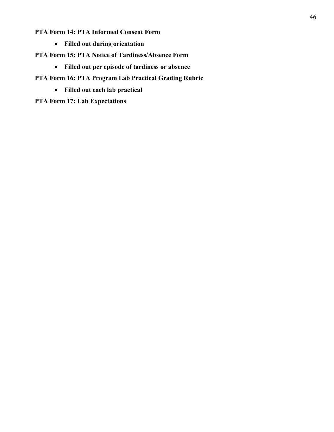# **PTA Form 14: PTA Informed Consent Form**

- **Filled out during orientation**
- **PTA Form 15: PTA Notice of Tardiness/Absence Form**
	- **Filled out per episode of tardiness or absence**
- **PTA Form 16: PTA Program Lab Practical Grading Rubric**
	- **Filled out each lab practical**

**PTA Form 17: Lab Expectations**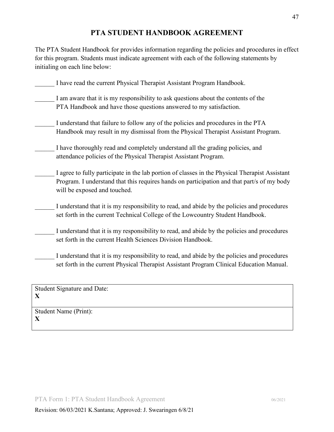# **PTA STUDENT HANDBOOK AGREEMENT**

The PTA Student Handbook for provides information regarding the policies and procedures in effect for this program. Students must indicate agreement with each of the following statements by initialing on each line below:

| I have read the current Physical Therapist Assistant Program Handbook.                                                                                                                                                       |
|------------------------------------------------------------------------------------------------------------------------------------------------------------------------------------------------------------------------------|
| I am aware that it is my responsibility to ask questions about the contents of the<br>PTA Handbook and have those questions answered to my satisfaction.                                                                     |
| I understand that failure to follow any of the policies and procedures in the PTA<br>Handbook may result in my dismissal from the Physical Therapist Assistant Program.                                                      |
| I have thoroughly read and completely understand all the grading policies, and<br>attendance policies of the Physical Therapist Assistant Program.                                                                           |
| I agree to fully participate in the lab portion of classes in the Physical Therapist Assistant<br>Program. I understand that this requires hands on participation and that part/s of my body<br>will be exposed and touched. |
| I understand that it is my responsibility to read, and abide by the policies and procedures<br>set forth in the current Technical College of the Lowcountry Student Handbook.                                                |
| I understand that it is my responsibility to read, and abide by the policies and procedures<br>set forth in the current Health Sciences Division Handbook.                                                                   |
| I understand that it is my responsibility to read, and abide by the policies and procedures<br>set forth in the current Physical Therapist Assistant Program Clinical Education Manual.                                      |
|                                                                                                                                                                                                                              |

Student Signature and Date: **X**

Student Name (Print): **X**

47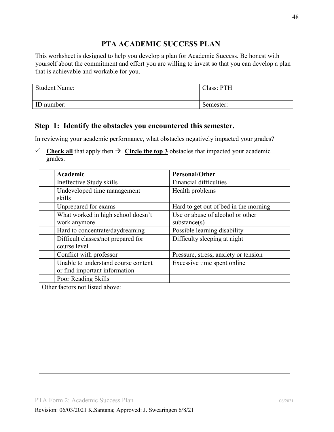# **PTA ACADEMIC SUCCESS PLAN**

This worksheet is designed to help you develop a plan for Academic Success. Be honest with yourself about the commitment and effort you are willing to invest so that you can develop a plan that is achievable and workable for you.

| <b>Student Name:</b> | Class: PTH |
|----------------------|------------|
| ID number:           | Semester:  |

# **Step 1: Identify the obstacles you encountered this semester.**

In reviewing your academic performance, what obstacles negatively impacted your grades?

 $\checkmark$  Check all that apply then  $\hat{\to}$  Circle the top 3 obstacles that impacted your academic grades.

| Academic                                           | <b>Personal/Other</b>                 |
|----------------------------------------------------|---------------------------------------|
| Ineffective Study skills                           | Financial difficulties                |
| Undeveloped time management                        | Health problems                       |
| skills                                             |                                       |
| Unprepared for exams                               | Hard to get out of bed in the morning |
| What worked in high school doesn't                 | Use or abuse of alcohol or other      |
| work anymore                                       | substance(s)                          |
| Hard to concentrate/daydreaming                    | Possible learning disability          |
| Difficult classes/not prepared for<br>course level | Difficulty sleeping at night          |
| Conflict with professor                            | Pressure, stress, anxiety or tension  |
| Unable to understand course content                | Excessive time spent online           |
| or find important information                      |                                       |
| Poor Reading Skills                                |                                       |
| Other factors not listed above:                    |                                       |
|                                                    |                                       |
|                                                    |                                       |
|                                                    |                                       |
|                                                    |                                       |
|                                                    |                                       |
|                                                    |                                       |
|                                                    |                                       |
|                                                    |                                       |
|                                                    |                                       |
|                                                    |                                       |
|                                                    |                                       |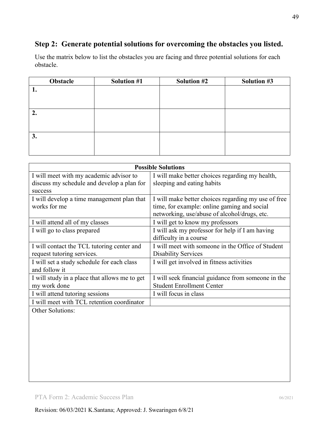# **Step 2: Generate potential solutions for overcoming the obstacles you listed.**

Use the matrix below to list the obstacles you are facing and three potential solutions for each obstacle.

| Obstacle | <b>Solution #1</b> | <b>Solution #2</b> | Solution #3 |
|----------|--------------------|--------------------|-------------|
| 1.       |                    |                    |             |
|          |                    |                    |             |
|          |                    |                    |             |
| 2.       |                    |                    |             |
|          |                    |                    |             |
|          |                    |                    |             |
| 3.       |                    |                    |             |
|          |                    |                    |             |
|          |                    |                    |             |

|                                                                                                  | <b>Possible Solutions</b>                                                                                                                          |  |
|--------------------------------------------------------------------------------------------------|----------------------------------------------------------------------------------------------------------------------------------------------------|--|
| I will meet with my academic advisor to<br>discuss my schedule and develop a plan for<br>success | I will make better choices regarding my health,<br>sleeping and eating habits                                                                      |  |
| I will develop a time management plan that<br>works for me                                       | I will make better choices regarding my use of free<br>time, for example: online gaming and social<br>networking, use/abuse of alcohol/drugs, etc. |  |
| I will attend all of my classes                                                                  | I will get to know my professors                                                                                                                   |  |
| I will go to class prepared                                                                      | I will ask my professor for help if I am having<br>difficulty in a course                                                                          |  |
| I will contact the TCL tutoring center and<br>request tutoring services.                         | I will meet with someone in the Office of Student<br><b>Disability Services</b>                                                                    |  |
| I will set a study schedule for each class<br>and follow it                                      | I will get involved in fitness activities                                                                                                          |  |
| I will study in a place that allows me to get<br>my work done                                    | I will seek financial guidance from someone in the<br><b>Student Enrollment Center</b>                                                             |  |
| I will attend tutoring sessions                                                                  | I will focus in class                                                                                                                              |  |
| I will meet with TCL retention coordinator                                                       |                                                                                                                                                    |  |
| Other Solutions:                                                                                 |                                                                                                                                                    |  |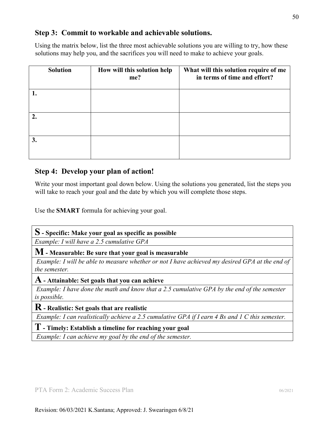# **Step 3: Commit to workable and achievable solutions.**

Using the matrix below, list the three most achievable solutions you are willing to try, how these solutions may help you, and the sacrifices you will need to make to achieve your goals.

| <b>Solution</b> | How will this solution help<br>me? | What will this solution require of me<br>in terms of time and effort? |
|-----------------|------------------------------------|-----------------------------------------------------------------------|
|                 |                                    |                                                                       |
| 2.              |                                    |                                                                       |
| 3.              |                                    |                                                                       |

# **Step 4: Develop your plan of action!**

Write your most important goal down below. Using the solutions you generated, list the steps you will take to reach your goal and the date by which you will complete those steps.

Use the **SMART** formula for achieving your goal.

# **S - Specific: Make your goal as specific as possible**

*Example: I will have a 2.5 cumulative GPA* 

**M - Measurable: Be sure that your goal is measurable**

*Example: I will be able to measure whether or not I have achieved my desired GPA at the end of the semester.* 

### **A - Attainable: Set goals that you can achieve**

*Example: I have done the math and know that a 2.5 cumulative GPA by the end of the semester is possible.* 

**R - Realistic: Set goals that are realistic** 

*Example: I can realistically achieve a 2.5 cumulative GPA if I earn 4 Bs and 1 C this semester.* 

**T- Timely: Establish a timeline for reaching your goal** 

*Example: I can achieve my goal by the end of the semester.*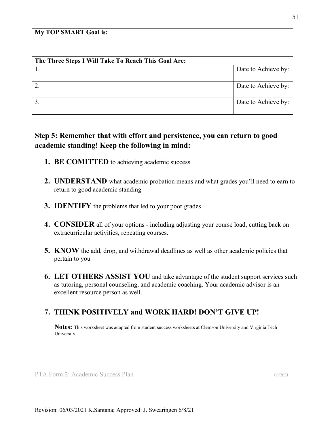#### **My TOP SMART Goal is:**

| The Three Steps I Will Take To Reach This Goal Are: |                     |
|-----------------------------------------------------|---------------------|
|                                                     | Date to Achieve by: |
| 2.                                                  | Date to Achieve by: |
| 3.                                                  | Date to Achieve by: |

# **Step 5: Remember that with effort and persistence, you can return to good academic standing! Keep the following in mind:**

- **1. BE COMITTED** to achieving academic success
- **2. UNDERSTAND** what academic probation means and what grades you'll need to earn to return to good academic standing
- **3. IDENTIFY** the problems that led to your poor grades
- **4. CONSIDER** all of your options including adjusting your course load, cutting back on extracurricular activities, repeating courses.
- **5. KNOW** the add, drop, and withdrawal deadlines as well as other academic policies that pertain to you
- **6. LET OTHERS ASSIST YOU** and take advantage of the student support services such as tutoring, personal counseling, and academic coaching. Your academic advisor is an excellent resource person as well.

# **7. THINK POSITIVELY and WORK HARD! DON'T GIVE UP!**

**Notes:** This worksheet was adapted from student success worksheets at Clemson University and Virginia Tech University.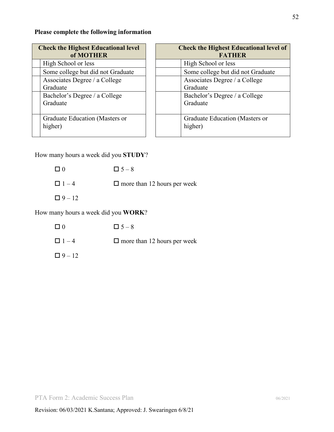## **Please complete the following information**

| <b>Check the Highest Educational level</b> | <b>Check the Highest Educational level of</b> |
|--------------------------------------------|-----------------------------------------------|
| of MOTHER                                  | <b>FATHER</b>                                 |
| High School or less                        | High School or less                           |
| Some college but did not Graduate          | Some college but did not Graduate             |
| Associates Degree / a College              | Associates Degree / a College                 |
| Graduate                                   | Graduate                                      |
| Bachelor's Degree / a College              | Bachelor's Degree / a College                 |
| Graduate                                   | Graduate                                      |
| Graduate Education (Masters or             | Graduate Education (Masters or                |
| higher)                                    | higher)                                       |

How many hours a week did you **STUDY**?

 $\Box$  0  $\Box$  5 – 8

 $\Box$  1 – 4  $\Box$  more than 12 hours per week

 $\Box 9 - 12$ 

How many hours a week did you **WORK**?

- $\Box$  0  $\Box$  5 8
- $\Box$  1 4  $\Box$  more than 12 hours per week
- $\Box 9 12$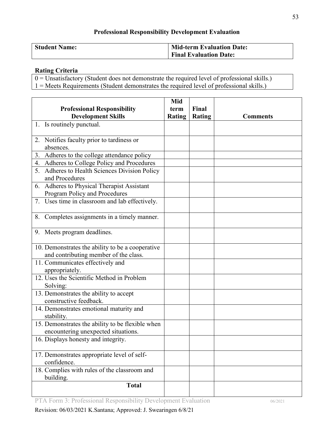# **Professional Responsibility Development Evaluation**

| <b>Student Name:</b> | <b>Mid-term Evaluation Date:</b> |
|----------------------|----------------------------------|
|                      | <b>Final Evaluation Date:</b>    |

## **Rating Criteria**

0 = Unsatisfactory (Student does not demonstrate the required level of professional skills.) 1 = Meets Requirements (Student demonstrates the required level of professional skills.)

| Mid                                                        |               |               |                 |
|------------------------------------------------------------|---------------|---------------|-----------------|
| <b>Professional Responsibility</b>                         | term          | Final         |                 |
| <b>Development Skills</b>                                  | <b>Rating</b> | <b>Rating</b> | <b>Comments</b> |
| 1. Is routinely punctual.                                  |               |               |                 |
|                                                            |               |               |                 |
| 2. Notifies faculty prior to tardiness or                  |               |               |                 |
| absences.                                                  |               |               |                 |
| 3. Adheres to the college attendance policy                |               |               |                 |
| 4. Adheres to College Policy and Procedures                |               |               |                 |
| 5. Adheres to Health Sciences Division Policy              |               |               |                 |
| and Procedures                                             |               |               |                 |
| 6. Adheres to Physical Therapist Assistant                 |               |               |                 |
| Program Policy and Procedures                              |               |               |                 |
| 7. Uses time in classroom and lab effectively.             |               |               |                 |
| 8. Completes assignments in a timely manner.               |               |               |                 |
| 9. Meets program deadlines.                                |               |               |                 |
| 10. Demonstrates the ability to be a cooperative           |               |               |                 |
| and contributing member of the class.                      |               |               |                 |
| 11. Communicates effectively and                           |               |               |                 |
| appropriately.                                             |               |               |                 |
| 12. Uses the Scientific Method in Problem<br>Solving:      |               |               |                 |
| 13. Demonstrates the ability to accept                     |               |               |                 |
| constructive feedback.                                     |               |               |                 |
| 14. Demonstrates emotional maturity and<br>stability.      |               |               |                 |
| 15. Demonstrates the ability to be flexible when           |               |               |                 |
| encountering unexpected situations.                        |               |               |                 |
| 16. Displays honesty and integrity.                        |               |               |                 |
| 17. Demonstrates appropriate level of self-<br>confidence. |               |               |                 |
| 18. Complies with rules of the classroom and<br>building.  |               |               |                 |
| <b>Total</b>                                               |               |               |                 |

PTA Form 3: Professional Responsibility Development Evaluation 06/2021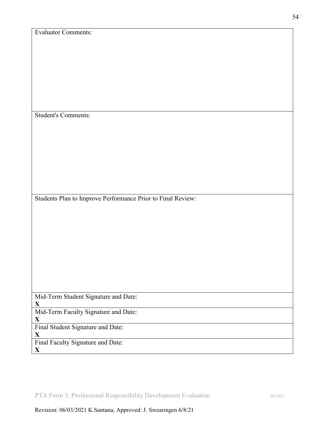| <b>Evaluator Comments:</b>                                  |
|-------------------------------------------------------------|
|                                                             |
|                                                             |
|                                                             |
|                                                             |
|                                                             |
|                                                             |
|                                                             |
|                                                             |
|                                                             |
|                                                             |
| <b>Student's Comments:</b>                                  |
|                                                             |
|                                                             |
|                                                             |
|                                                             |
|                                                             |
|                                                             |
|                                                             |
|                                                             |
|                                                             |
|                                                             |
|                                                             |
| Students Plan to Improve Performance Prior to Final Review: |
|                                                             |
|                                                             |
|                                                             |
|                                                             |
|                                                             |
|                                                             |
|                                                             |
|                                                             |
|                                                             |
|                                                             |
|                                                             |
|                                                             |
| Mid-Term Student Signature and Date:                        |
| $\mathbf X$                                                 |
| Mid-Term Faculty Signature and Date:                        |
| $\mathbf X$                                                 |
|                                                             |
| Final Student Signature and Date:                           |
| $\mathbf X$                                                 |
| Final Faculty Signature and Date:                           |
| $\mathbf X$                                                 |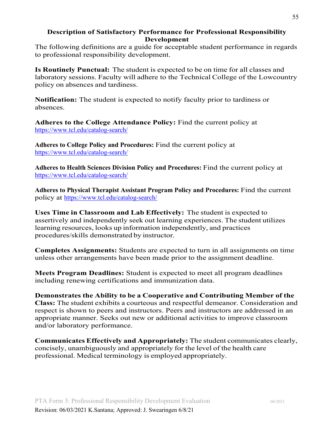## **Description of Satisfactory Performance for Professional Responsibility Development**

The following definitions are a guide for acceptable student performance in regards to professional responsibility development.

**Is Routinely Punctual:** The student is expected to be on time for all classes and laboratory sessions. Faculty will adhere to the Technical College of the Lowcountry policy on absences and tardiness.

**Notification:** The student is expected to notify faculty prior to tardiness or absences.

**Adheres to the College Attendance Policy:** Find the current policy at <https://www.tcl.edu/catalog-search/>

**Adheres to College Policy and Procedures:** Find the current policy at <https://www.tcl.edu/catalog-search/>

**Adheres to Health Sciences Division Policy and Procedures:** Find the current policy at <https://www.tcl.edu/catalog-search/>

**Adheres to Physical Therapist Assistant Program Policy and Procedures:** Find the current policy at<https://www.tcl.edu/catalog-search/>

**Uses Time in Classroom and Lab Effectively:** The student is expected to assertively and independently seek out learning experiences. The student utilizes learning resources, looks up information independently, and practices procedures/skills demonstrated by instructor.

**Completes Assignments:** Students are expected to turn in all assignments on time unless other arrangements have been made prior to the assignment deadline.

**Meets Program Deadlines:** Student is expected to meet all program deadlines including renewing certifications and immunization data.

**Demonstrates the Ability to be a Cooperative and Contributing Member of the Class:** The student exhibits a courteous and respectful demeanor. Consideration and respect is shown to peers and instructors. Peers and instructors are addressed in an appropriate manner. Seeks out new or additional activities to improve classroom and/or laboratory performance.

**Communicates Effectively and Appropriately:** The student communicates clearly, concisely, unambiguously and appropriately for the level of the health care professional. Medical terminology is employed appropriately.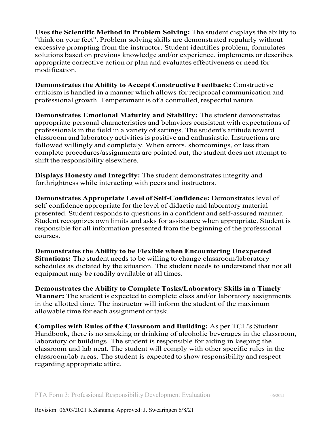**Uses the Scientific Method in Problem Solving:** The student displays the ability to "think on your feet". Problem‐solving skills are demonstrated regularly without excessive prompting from the instructor. Student identifies problem, formulates solutions based on previous knowledge and/or experience, implements or describes appropriate corrective action or plan and evaluates effectiveness or need for modification.

**Demonstrates the Ability to Accept Constructive Feedback:** Constructive criticism is handled in a manner which allows for reciprocal communication and professional growth. Temperament is of a controlled, respectful nature.

**Demonstrates Emotional Maturity and Stability:** The student demonstrates appropriate personal characteristics and behaviors consistent with expectations of professionals in the field in a variety of settings. The student's attitude toward classroom and laboratory activities is positive and enthusiastic. Instructions are followed willingly and completely. When errors, shortcomings, or less than complete procedures/assignments are pointed out, the student does not attempt to shift the responsibility elsewhere.

**Displays Honesty and Integrity:** The student demonstrates integrity and forthrightness while interacting with peers and instructors.

**Demonstrates Appropriate Level of Self**‐**Confidence:** Demonstrates level of self‐confidence appropriate for the level of didactic and laboratory material presented. Student responds to questions in a confident and self‐assured manner. Student recognizes own limits and asks for assistance when appropriate. Student is responsible for all information presented from the beginning of the professional courses.

**Demonstrates the Ability to be Flexible when Encountering Unexpected Situations:** The student needs to be willing to change classroom/laboratory schedules as dictated by the situation. The student needs to understand that not all equipment may be readily available at all times.

**Demonstrates the Ability to Complete Tasks/Laboratory Skills in a Timely Manner:** The student is expected to complete class and/or laboratory assignments in the allotted time. The instructor will inform the student of the maximum allowable time for each assignment or task.

**Complies with Rules of the Classroom and Building:** As per TCL's Student Handbook, there is no smoking or drinking of alcoholic beverages in the classroom, laboratory or buildings. The student is responsible for aiding in keeping the classroom and lab neat. The student will comply with other specific rules in the classroom/lab areas. The student is expected to show responsibility and respect regarding appropriate attire.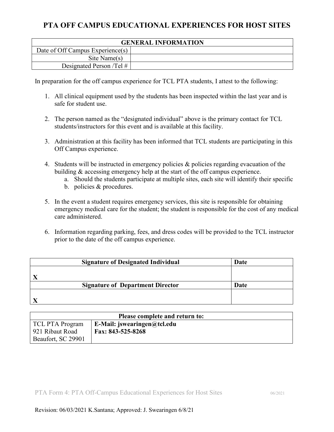# **PTA OFF CAMPUS EDUCATIONAL EXPERIENCES FOR HOST SITES**

| <b>GENERAL INFORMATION</b>       |  |  |
|----------------------------------|--|--|
| Date of Off Campus Experience(s) |  |  |
| Site Name(s)                     |  |  |
| Designated Person /Tel $\#$      |  |  |

In preparation for the off campus experience for TCL PTA students, I attest to the following:

- 1. All clinical equipment used by the students has been inspected within the last year and is safe for student use.
- 2. The person named as the "designated individual" above is the primary contact for TCL students/instructors for this event and is available at this facility.
- 3. Administration at this facility has been informed that TCL students are participating in this Off Campus experience.
- 4. Students will be instructed in emergency policies & policies regarding evacuation of the building & accessing emergency help at the start of the off campus experience.
	- a. Should the students participate at multiple sites, each site will identify their specific
	- b. policies & procedures.
- 5. In the event a student requires emergency services, this site is responsible for obtaining emergency medical care for the student; the student is responsible for the cost of any medical care administered.
- 6. Information regarding parking, fees, and dress codes will be provided to the TCL instructor prior to the date of the off campus experience.

| <b>Signature of Designated Individual</b> | Date |
|-------------------------------------------|------|
|                                           |      |
|                                           |      |
| <b>Signature of Department Director</b>   | Date |
|                                           |      |
|                                           |      |

| Please complete and return to: |                                                        |  |  |  |  |
|--------------------------------|--------------------------------------------------------|--|--|--|--|
| TCL PTA Program                | $\mathbf{E}\text{-}\mathbf{Mail:}$ iswearingen@tcl.edu |  |  |  |  |
| 921 Ribaut Road                | Fax: 843-525-8268                                      |  |  |  |  |
| Beaufort, SC 29901             |                                                        |  |  |  |  |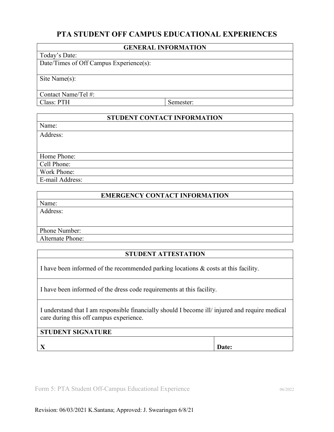# **PTA STUDENT OFF CAMPUS EDUCATIONAL EXPERIENCES**

#### **GENERAL INFORMATION**

#### Today's Date:

Date/Times of Off Campus Experience(s):

Site Name(s):

Contact Name/Tel #: Class: PTH Semester:

# **STUDENT CONTACT INFORMATION**

Name:

Address:

Home Phone: Cell Phone: Work Phone: E-mail Address:

## **EMERGENCY CONTACT INFORMATION**

Name: Address:

Phone Number:

Alternate Phone:

### **STUDENT ATTESTATION**

I have been informed of the recommended parking locations & costs at this facility.

I have been informed of the dress code requirements at this facility.

I understand that I am responsible financially should I become ill/ injured and require medical care during this off campus experience.

## **STUDENT SIGNATURE**

**X Date:** 

Form 5: PTA Student Off-Campus Educational Experience 06/2022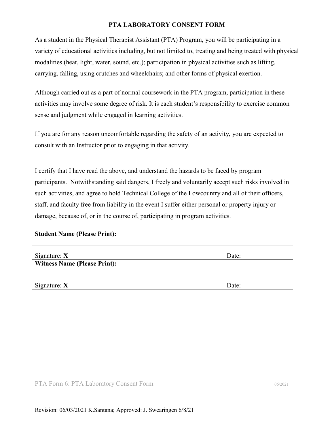### **PTA LABORATORY CONSENT FORM**

As a student in the Physical Therapist Assistant (PTA) Program, you will be participating in a variety of educational activities including, but not limited to, treating and being treated with physical modalities (heat, light, water, sound, etc.); participation in physical activities such as lifting, carrying, falling, using crutches and wheelchairs; and other forms of physical exertion.

Although carried out as a part of normal coursework in the PTA program, participation in these activities may involve some degree of risk. It is each student's responsibility to exercise common sense and judgment while engaged in learning activities.

If you are for any reason uncomfortable regarding the safety of an activity, you are expected to consult with an Instructor prior to engaging in that activity.

I certify that I have read the above, and understand the hazards to be faced by program participants. Notwithstanding said dangers, I freely and voluntarily accept such risks involved in such activities, and agree to hold Technical College of the Lowcountry and all of their officers, staff, and faculty free from liability in the event I suffer either personal or property injury or damage, because of, or in the course of, participating in program activities.

| Signature: $X$                      | Date: |
|-------------------------------------|-------|
| <b>Witness Name (Please Print):</b> |       |
| Signature: $X$                      | Date: |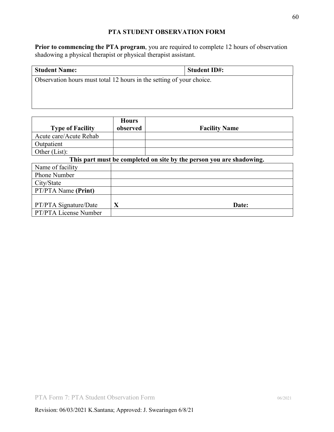## **PTA STUDENT OBSERVATION FORM**

**Prior to commencing the PTA program**, you are required to complete 12 hours of observation shadowing a physical therapist or physical therapist assistant.

| <b>Student Name:</b>                                                 | <b>Student ID#:</b> |
|----------------------------------------------------------------------|---------------------|
| Observation hours must total 12 hours in the setting of your choice. |                     |
|                                                                      |                     |

<u> 1980 - Johann Stoff, deutscher Stoff, der Stoff, der Stoff, der Stoff, der Stoff, der Stoff, der Stoff, der S</u>

|                         | <b>Hours</b> |                                                                      |
|-------------------------|--------------|----------------------------------------------------------------------|
| <b>Type of Facility</b> | observed     | <b>Facility Name</b>                                                 |
| Acute care/Acute Rehab  |              |                                                                      |
| Outpatient              |              |                                                                      |
| Other (List):           |              |                                                                      |
|                         |              | This part must be completed on site by the person you are shadowing. |
| Name of facility        |              |                                                                      |
| <b>Phone Number</b>     |              |                                                                      |
| City/State              |              |                                                                      |
| PT/PTA Name (Print)     |              |                                                                      |
|                         |              |                                                                      |
| PT/PTA Signature/Date   | X            | Date:                                                                |
| PT/PTA License Number   |              |                                                                      |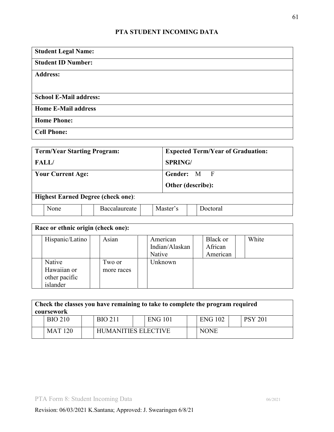# **PTA STUDENT INCOMING DATA**

| <b>Student Legal Name:</b>    |  |
|-------------------------------|--|
| <b>Student ID Number:</b>     |  |
| <b>Address:</b>               |  |
|                               |  |
| <b>School E-Mail address:</b> |  |
| <b>Home E-Mail address</b>    |  |
| <b>Home Phone:</b>            |  |
| <b>Cell Phone:</b>            |  |

| <b>Term/Year Starting Program:</b> |                                           |  |               | <b>Expected Term/Year of Graduation:</b> |          |                   |  |
|------------------------------------|-------------------------------------------|--|---------------|------------------------------------------|----------|-------------------|--|
| <b>FALL</b>                        |                                           |  |               | <b>SPRING</b>                            |          |                   |  |
| <b>Your Current Age:</b>           |                                           |  |               | Gender: M F                              |          |                   |  |
|                                    |                                           |  |               |                                          |          | Other (describe): |  |
|                                    | <b>Highest Earned Degree (check one):</b> |  |               |                                          |          |                   |  |
|                                    | None                                      |  | Baccalaureate |                                          | Master's | Doctoral          |  |

| Race or ethnic origin (check one): |            |  |                            |  |                     |  |       |
|------------------------------------|------------|--|----------------------------|--|---------------------|--|-------|
| Hispanic/Latino                    | Asian      |  | American<br>Indian/Alaskan |  | Black or<br>African |  | White |
|                                    |            |  | Native                     |  | American            |  |       |
| Native                             | Two or     |  | Unknown                    |  |                     |  |       |
| Hawaiian or                        | more races |  |                            |  |                     |  |       |
| other pacific                      |            |  |                            |  |                     |  |       |
| islander                           |            |  |                            |  |                     |  |       |

| Check the classes you have remaining to take to complete the program required<br>coursework |                |  |                            |  |                |             |                |
|---------------------------------------------------------------------------------------------|----------------|--|----------------------------|--|----------------|-------------|----------------|
|                                                                                             | <b>BIO 210</b> |  | <b>BIO 211</b>             |  | <b>ENG 101</b> | ENG 102     | <b>PSY 201</b> |
|                                                                                             | <b>MAT 120</b> |  | <b>HUMANITIES ELECTIVE</b> |  |                | <b>NONE</b> |                |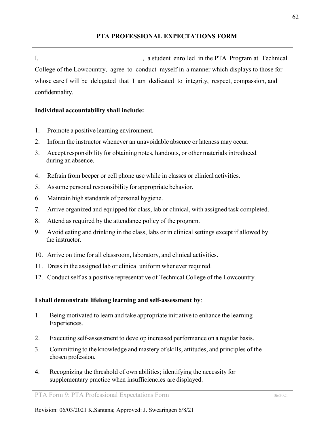# **PTA PROFESSIONAL EXPECTATIONS FORM**

I, a student enrolled in the PTA Program at Technical College of the Lowcountry, agree to conduct myself in a manner which displays to those for whose care I will be delegated that I am dedicated to integrity, respect, compassion, and confidentiality.

# **Individual accountability shall include:**

- 1. Promote a positive learning environment.
- 2. Inform the instructor whenever an unavoidable absence or lateness may occur.
- 3. Accept responsibility for obtaining notes, handouts, or other materials introduced during an absence.
- 4. Refrain from beeper or cell phone use while in classes or clinical activities.
- 5. Assume personal responsibility for appropriate behavior.
- 6. Maintain high standards of personal hygiene.
- 7. Arrive organized and equipped for class, lab or clinical, with assigned task completed.
- 8. Attend as required by the attendance policy of the program.
- 9. Avoid eating and drinking in the class, labs or in clinical settings except if allowed by the instructor.
- 10. Arrive on time for all classroom, laboratory, and clinical activities.
- 11. Dress in the assigned lab or clinical uniform whenever required.
- 12. Conduct self as a positive representative of Technical College of the Lowcountry.

# **I shall demonstrate lifelong learning and self-assessment by**:

- 1. Being motivated to learn and take appropriate initiative to enhance the learning Experiences.
- 2. Executing self-assessment to develop increased performance on a regular basis.
- 3. Committing to the knowledge and mastery of skills, attitudes, and principles of the chosen profession.
- 4. Recognizing the threshold of own abilities; identifying the necessity for supplementary practice when insufficiencies are displayed.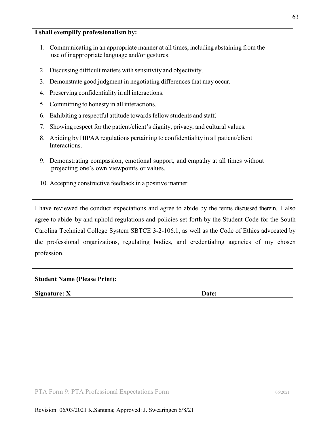#### **I shall exemplify professionalism by:**

- 1. Communicating in an appropriate manner at all times, including abstaining from the use of inappropriate language and/or gestures.
- 2. Discussing difficult matters with sensitivity and objectivity.
- 3. Demonstrate good judgment in negotiating differences that may occur.
- 4. Preserving confidentiality in all interactions.
- 5. Committing to honesty in all interactions.
- 6. Exhibiting a respectful attitude towards fellow students and staff.
- 7. Showing respect for the patient/client's dignity, privacy, and cultural values.
- 8. Abiding by HIPAA regulations pertaining to confidentiality in all patient/client Interactions.
- 9. Demonstrating compassion, emotional support, and empathy at all times without projecting one's own viewpoints or values.
- 10. Accepting constructive feedback in a positive manner.

I have reviewed the conduct expectations and agree to abide by the terms discussed therein. I also agree to abide by and uphold regulations and policies set forth by the Student Code for the South Carolina Technical College System SBTCE 3-2-106.1, as well as the Code of Ethics advocated by the professional organizations, regulating bodies, and credentialing agencies of my chosen profession.

| <b>Student Name (Please Print):</b> |       |
|-------------------------------------|-------|
| Signature: $X$                      | Date: |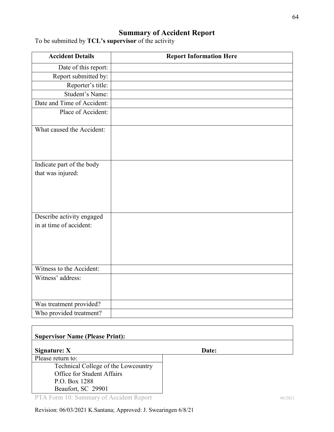# **Summary of Accident Report**

| <b>Accident Details</b>                              | <b>Report Information Here</b> |
|------------------------------------------------------|--------------------------------|
| Date of this report:                                 |                                |
| Report submitted by:                                 |                                |
| Reporter's title:                                    |                                |
| Student's Name:                                      |                                |
| Date and Time of Accident:                           |                                |
| Place of Accident:                                   |                                |
| What caused the Accident:                            |                                |
| Indicate part of the body<br>that was injured:       |                                |
| Describe activity engaged<br>in at time of accident: |                                |
| Witness to the Accident:                             |                                |
| Witness' address:                                    |                                |
| Was treatment provided?                              |                                |
| Who provided treatment?                              |                                |

To be submitted by **TCL's supervisor** of the activity

# **Supervisor Name (Please Print):**

**Signature: X** Date: Please return to:

Technical College of the Lowcountry Office for Student Affairs P.O. Box 1288 Beaufort, SC 29901

PTA Form 10: Summary of Accident Report 06/2021

Revision: 06/03/2021 K.Santana; Approved: J. Swearingen 6/8/21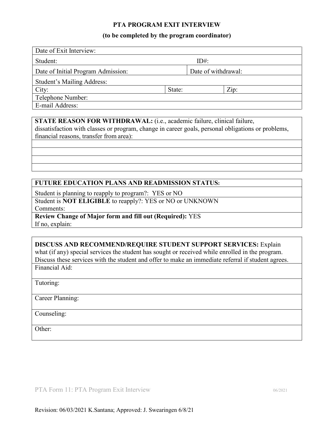### **PTA PROGRAM EXIT INTERVIEW**

#### **(to be completed by the program coordinator)**

| Date of Exit Interview:            |         |                     |      |  |
|------------------------------------|---------|---------------------|------|--|
| Student:                           | $ID#$ : |                     |      |  |
| Date of Initial Program Admission: |         | Date of withdrawal: |      |  |
| Student's Mailing Address:         |         |                     |      |  |
| City:                              | State:  |                     | Zip: |  |
| Telephone Number:                  |         |                     |      |  |
| E-mail Address:                    |         |                     |      |  |

**STATE REASON FOR WITHDRAWAL:** (i.e., academic failure, clinical failure,

dissatisfaction with classes or program, change in career goals, personal obligations or problems, financial reasons, transfer from area):

## **FUTURE EDUCATION PLANS AND READMISSION STATUS:**

Student is planning to reapply to program?: YES or NO

Student is **NOT ELIGIBLE** to reapply?: YES or NO or UNKNOWN Comments:

**Review Change of Major form and fill out (Required):** YES If no, explain:

#### **DISCUSS AND RECOMMEND/REQUIRE STUDENT SUPPORT SERVICES:** Explain

Financial Aid: what (if any) special services the student has sought or received while enrolled in the program. Discuss these services with the student and offer to make an immediate referral if student agrees.

Tutoring:

Career Planning:

Counseling:

Other: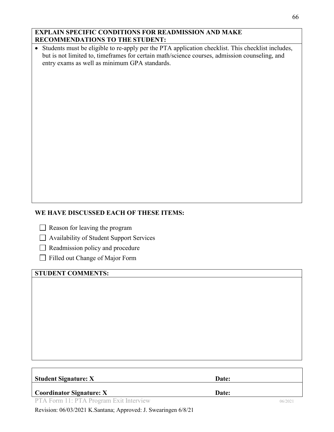# **EXPLAIN SPECIFIC CONDITIONS FOR READMISSION AND MAKE RECOMMENDATIONS TO THE STUDENT:**

• Students must be eligible to re-apply per the PTA application checklist. This checklist includes, but is not limited to, timeframes for certain math/science courses, admission counseling, and entry exams as well as minimum GPA standards.

# **WE HAVE DISCUSSED EACH OF THESE ITEMS:**

 $\Box$  Reason for leaving the program

Availability of Student Support Services

Readmission policy and procedure

Filled out Change of Major Form

# **STUDENT COMMENTS:**

| Student Signature: $X$                  | Date: |         |
|-----------------------------------------|-------|---------|
| <b>Coordinator Signature:</b> $X$       | Date: |         |
| PTA Form 11: PTA Program Exit Interview |       | 06/2021 |

Revision: 06/03/2021 K.Santana; Approved: J. Swearingen 6/8/21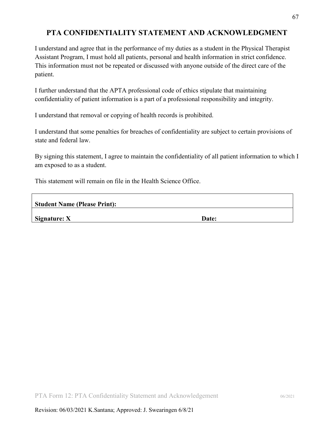# **PTA CONFIDENTIALITY STATEMENT AND ACKNOWLEDGMENT**

I understand and agree that in the performance of my duties as a student in the Physical Therapist Assistant Program, I must hold all patients, personal and health information in strict confidence. This information must not be repeated or discussed with anyone outside of the direct care of the patient.

I further understand that the APTA professional code of ethics stipulate that maintaining confidentiality of patient information is a part of a professional responsibility and integrity.

I understand that removal or copying of health records is prohibited.

I understand that some penalties for breaches of confidentiality are subject to certain provisions of state and federal law.

By signing this statement, I agree to maintain the confidentiality of all patient information to which I am exposed to as a student.

This statement will remain on file in the Health Science Office.

**Student Name (Please Print):**

**Signature: X** Date: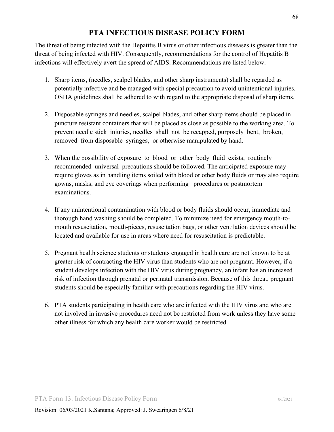# **PTA INFECTIOUS DISEASE POLICY FORM**

The threat of being infected with the Hepatitis B virus or other infectious diseases is greater than the threat of being infected with HIV. Consequently, recommendations for the control of Hepatitis B infections will effectively avert the spread of AIDS. Recommendations are listed below.

- 1. Sharp items, (needles, scalpel blades, and other sharp instruments) shall be regarded as potentially infective and be managed with special precaution to avoid unintentional injuries. OSHA guidelines shall be adhered to with regard to the appropriate disposal of sharp items.
- 2. Disposable syringes and needles, scalpel blades, and other sharp items should be placed in puncture resistant containers that will be placed as close as possible to the working area. To prevent needle stick injuries, needles shall not be recapped, purposely bent, broken, removed from disposable syringes, or otherwise manipulated by hand.
- 3. When the possibility of exposure to blood or other body fluid exists, routinely recommended universal precautions should be followed. The anticipated exposure may require gloves as in handling items soiled with blood or other body fluids or may also require gowns, masks, and eye coverings when performing procedures or postmortem examinations.
- 4. If any unintentional contamination with blood or body fluids should occur, immediate and thorough hand washing should be completed. To minimize need for emergency mouth-tomouth resuscitation, mouth-pieces, resuscitation bags, or other ventilation devices should be located and available for use in areas where need for resuscitation is predictable.
- 5. Pregnant health science students or students engaged in health care are not known to be at greater risk of contracting the HIV virus than students who are not pregnant. However, if a student develops infection with the HIV virus during pregnancy, an infant has an increased risk of infection through prenatal or perinatal transmission. Because of this threat, pregnant students should be especially familiar with precautions regarding the HIV virus.
- 6. PTA students participating in health care who are infected with the HIV virus and who are not involved in invasive procedures need not be restricted from work unless they have some other illness for which any health care worker would be restricted.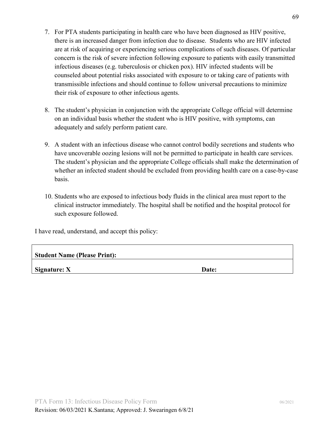- 7. For PTA students participating in health care who have been diagnosed as HIV positive, there is an increased danger from infection due to disease. Students who are HIV infected are at risk of acquiring or experiencing serious complications of such diseases. Of particular concern is the risk of severe infection following exposure to patients with easily transmitted infectious diseases (e.g. tuberculosis or chicken pox). HIV infected students will be counseled about potential risks associated with exposure to or taking care of patients with transmissible infections and should continue to follow universal precautions to minimize their risk of exposure to other infectious agents.
- 8. The student's physician in conjunction with the appropriate College official will determine on an individual basis whether the student who is HIV positive, with symptoms, can adequately and safely perform patient care.
- 9. A student with an infectious disease who cannot control bodily secretions and students who have uncoverable oozing lesions will not be permitted to participate in health care services. The student's physician and the appropriate College officials shall make the determination of whether an infected student should be excluded from providing health care on a case-by-case basis.
- 10. Students who are exposed to infectious body fluids in the clinical area must report to the clinical instructor immediately. The hospital shall be notified and the hospital protocol for such exposure followed.

I have read, understand, and accept this policy:

| <b>Student Name (Please Print):</b> |  |
|-------------------------------------|--|
|-------------------------------------|--|

**Signature: X** Date: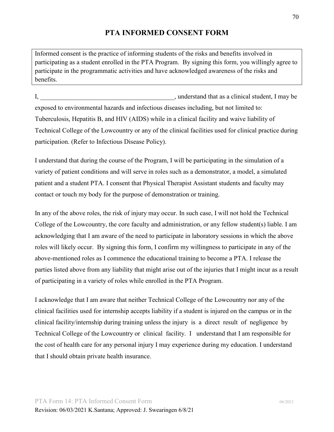# **PTA INFORMED CONSENT FORM**

Informed consent is the practice of informing students of the risks and benefits involved in participating as a student enrolled in the PTA Program. By signing this form, you willingly agree to participate in the programmatic activities and have acknowledged awareness of the risks and benefits.

I, the contract of the contract of the student of the student of the student, I may be student, I may be student. exposed to environmental hazards and infectious diseases including, but not limited to: Tuberculosis, Hepatitis B, and HIV (AIDS) while in a clinical facility and waive liability of Technical College of the Lowcountry or any of the clinical facilities used for clinical practice during participation. (Refer to Infectious Disease Policy).

I understand that during the course of the Program, I will be participating in the simulation of a variety of patient conditions and will serve in roles such as a demonstrator, a model, a simulated patient and a student PTA. I consent that Physical Therapist Assistant students and faculty may contact or touch my body for the purpose of demonstration or training.

In any of the above roles, the risk of injury may occur. In such case, I will not hold the Technical College of the Lowcountry, the core faculty and administration, or any fellow student(s) liable. I am acknowledging that I am aware of the need to participate in laboratory sessions in which the above roles will likely occur. By signing this form, I confirm my willingness to participate in any of the above-mentioned roles as I commence the educational training to become a PTA. I release the parties listed above from any liability that might arise out of the injuries that I might incur as a result of participating in a variety of roles while enrolled in the PTA Program.

I acknowledge that I am aware that neither Technical College of the Lowcountry nor any of the clinical facilities used for internship accepts liability if a student is injured on the campus or in the clinical facility/internship during training unless the injury is a direct result of negligence by Technical College of the Lowcountry or clinical facility. I understand that I am responsible for the cost of health care for any personal injury I may experience during my education. I understand that I should obtain private health insurance.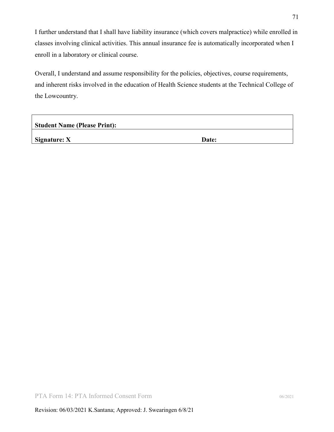I further understand that I shall have liability insurance (which covers malpractice) while enrolled in classes involving clinical activities. This annual insurance fee is automatically incorporated when I enroll in a laboratory or clinical course.

Overall, I understand and assume responsibility for the policies, objectives, course requirements, and inherent risks involved in the education of Health Science students at the Technical College of the Lowcountry.

| <b>Student Name (Please Print):</b> |       |  |
|-------------------------------------|-------|--|
| Signature: $X$                      | Date: |  |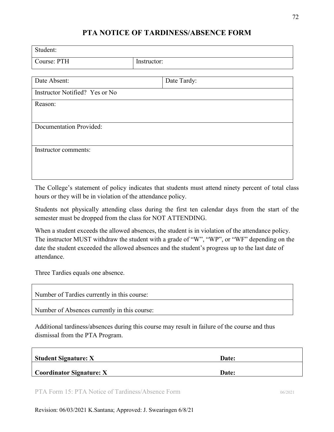# **PTA NOTICE OF TARDINESS/ABSENCE FORM**

| Student:                       |             |             |  |
|--------------------------------|-------------|-------------|--|
| Course: PTH                    | Instructor: |             |  |
|                                |             |             |  |
| Date Absent:                   |             | Date Tardy: |  |
| Instructor Notified? Yes or No |             |             |  |
| Reason:                        |             |             |  |
| <b>Documentation Provided:</b> |             |             |  |
| Instructor comments:           |             |             |  |
|                                |             |             |  |

The College's statement of policy indicates that students must attend ninety percent of total class hours or they will be in violation of the attendance policy.

Students not physically attending class during the first ten calendar days from the start of the semester must be dropped from the class for NOT ATTENDING.

When a student exceeds the allowed absences, the student is in violation of the attendance policy. The instructor MUST withdraw the student with a grade of "W", "WP", or "WF" depending on the date the student exceeded the allowed absences and the student's progress up to the last date of attendance.

Three Tardies equals one absence.

| Number of Tardies currently in this course:  |  |
|----------------------------------------------|--|
| Number of Absences currently in this course: |  |

Additional tardiness/absences during this course may result in failure of the course and thus dismissal from the PTA Program.

| Student Signature: X            | Date: |  |
|---------------------------------|-------|--|
| <b>Coordinator Signature: X</b> | Date: |  |

PTA Form 15: PTA Notice of Tardiness/Absence Form 06/2021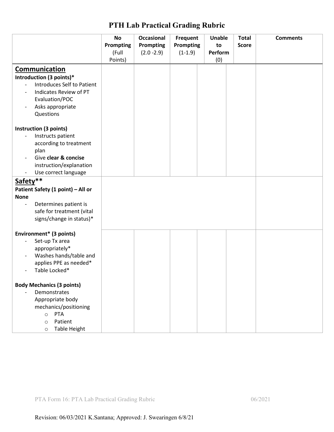|                                                  | <b>No</b> | <b>Occasional</b> | <b>Frequent</b>  | Unable  | <b>Total</b> | <b>Comments</b> |
|--------------------------------------------------|-----------|-------------------|------------------|---------|--------------|-----------------|
|                                                  | Prompting | Prompting         | <b>Prompting</b> | to      | <b>Score</b> |                 |
|                                                  | (Full     | $(2.0 - 2.9)$     | $(1-1.9)$        | Perform |              |                 |
|                                                  | Points)   |                   |                  | (0)     |              |                 |
| <b>Communication</b>                             |           |                   |                  |         |              |                 |
| Introduction (3 points)*                         |           |                   |                  |         |              |                 |
| Introduces Self to Patient<br>$\frac{1}{2}$      |           |                   |                  |         |              |                 |
| Indicates Review of PT                           |           |                   |                  |         |              |                 |
| Evaluation/POC                                   |           |                   |                  |         |              |                 |
| Asks appropriate<br>$\overline{a}$               |           |                   |                  |         |              |                 |
| Questions                                        |           |                   |                  |         |              |                 |
|                                                  |           |                   |                  |         |              |                 |
| Instruction (3 points)                           |           |                   |                  |         |              |                 |
| Instructs patient<br>$\overline{\phantom{a}}$    |           |                   |                  |         |              |                 |
| according to treatment<br>plan                   |           |                   |                  |         |              |                 |
| Give clear & concise                             |           |                   |                  |         |              |                 |
| instruction/explanation                          |           |                   |                  |         |              |                 |
| Use correct language<br>$\overline{\phantom{0}}$ |           |                   |                  |         |              |                 |
| Safety**                                         |           |                   |                  |         |              |                 |
| Patient Safety (1 point) - All or                |           |                   |                  |         |              |                 |
| <b>None</b>                                      |           |                   |                  |         |              |                 |
| Determines patient is                            |           |                   |                  |         |              |                 |
| safe for treatment (vital                        |           |                   |                  |         |              |                 |
| signs/change in status)*                         |           |                   |                  |         |              |                 |
|                                                  |           |                   |                  |         |              |                 |
| Environment* (3 points)                          |           |                   |                  |         |              |                 |
| Set-up Tx area<br>$\qquad \qquad -$              |           |                   |                  |         |              |                 |
| appropriately*                                   |           |                   |                  |         |              |                 |
| Washes hands/table and                           |           |                   |                  |         |              |                 |
| applies PPE as needed*                           |           |                   |                  |         |              |                 |
| Table Locked*<br>$\overline{\phantom{a}}$        |           |                   |                  |         |              |                 |
|                                                  |           |                   |                  |         |              |                 |
| <b>Body Mechanics (3 points)</b><br>Demonstrates |           |                   |                  |         |              |                 |
| Appropriate body                                 |           |                   |                  |         |              |                 |
| mechanics/positioning                            |           |                   |                  |         |              |                 |
| PTA<br>$\circ$                                   |           |                   |                  |         |              |                 |
| Patient<br>$\circ$                               |           |                   |                  |         |              |                 |
| <b>Table Height</b><br>$\circ$                   |           |                   |                  |         |              |                 |

## **PTH Lab Practical Grading Rubric**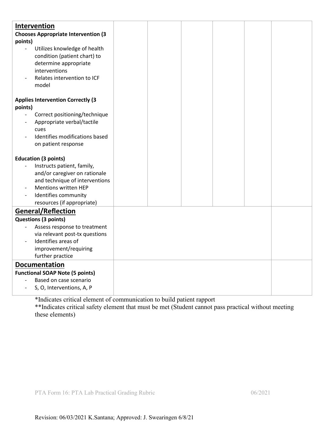| Intervention<br><b>Chooses Appropriate Intervention (3</b><br>points)<br>Utilizes knowledge of health<br>$\frac{1}{2}$<br>condition (patient chart) to<br>determine appropriate<br>interventions<br>Relates intervention to ICF<br>model |  |  |  |
|------------------------------------------------------------------------------------------------------------------------------------------------------------------------------------------------------------------------------------------|--|--|--|
| <b>Applies Intervention Correctly (3</b><br>points)<br>Correct positioning/technique<br>$\overline{\phantom{a}}$<br>Appropriate verbal/tactile<br>cues<br>Identifies modifications based<br>on patient response                          |  |  |  |
| <b>Education (3 points)</b><br>Instructs patient, family,<br>and/or caregiver on rationale<br>and technique of interventions<br><b>Mentions written HEP</b><br>Identifies community<br>resources (if appropriate)                        |  |  |  |
| <b>General/Reflection</b><br><b>Questions (3 points)</b><br>Assess response to treatment<br>via relevant post-tx questions<br>Identifies areas of<br>improvement/requiring<br>further practice                                           |  |  |  |
| <b>Documentation</b><br><b>Functional SOAP Note (5 points)</b><br>Based on case scenario<br>S, O, Interventions, A, P                                                                                                                    |  |  |  |

\*Indicates critical element of communication to build patient rapport

\*\*Indicates critical safety element that must be met (Student cannot pass practical without meeting these elements)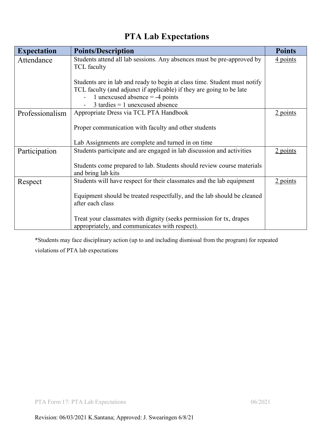## **PTA Lab Expectations**

| <b>Expectation</b> | <b>Points/Description</b>                                                                    | <b>Points</b> |
|--------------------|----------------------------------------------------------------------------------------------|---------------|
| Attendance         | Students attend all lab sessions. Any absences must be pre-approved by<br><b>TCL</b> faculty | 4 points      |
|                    | Students are in lab and ready to begin at class time. Student must notify                    |               |
|                    | TCL faculty (and adjunct if applicable) if they are going to be late                         |               |
|                    | 1 unexcused absence $=$ -4 points                                                            |               |
|                    | $3$ tardies = 1 unexcused absence                                                            |               |
| Professionalism    | Appropriate Dress via TCL PTA Handbook                                                       | $2$ points    |
|                    | Proper communication with faculty and other students                                         |               |
|                    | Lab Assignments are complete and turned in on time                                           |               |
| Participation      | Students participate and are engaged in lab discussion and activities                        | $2$ points    |
|                    | Students come prepared to lab. Students should review course materials<br>and bring lab kits |               |
| Respect            | Students will have respect for their classmates and the lab equipment                        | $2$ points    |
|                    | Equipment should be treated respectfully, and the lab should be cleaned                      |               |
|                    | after each class                                                                             |               |
|                    | Treat your classmates with dignity (seeks permission for tx, drapes                          |               |
|                    | appropriately, and communicates with respect).                                               |               |

\*Students may face disciplinary action (up to and including dismissal from the program) for repeated violations of PTA lab expectations